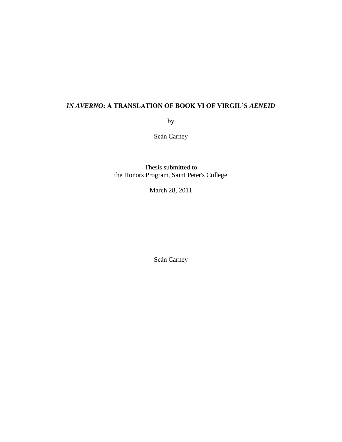## *IN AVERNO***: A TRANSLATION OF BOOK VI OF VIRGIL'S** *AENEID*

by

Seán Carney

Thesis submitted to the Honors Program, Saint Peter's College

March 28, 2011

Seán Carney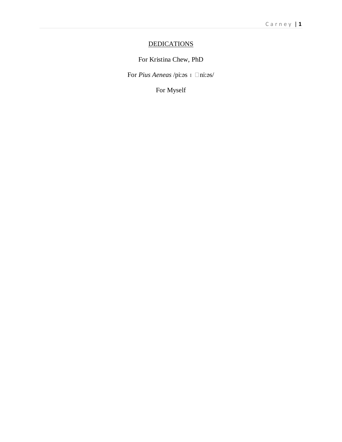# **DEDICATIONS**

# For Kristina Chew, PhD

For *Pius Aeneas* /pi:əs **1** □ni:əs/

For Myself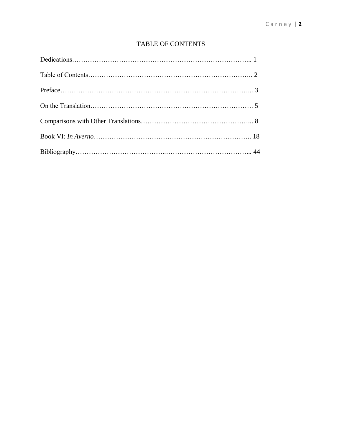## TABLE OF CONTENTS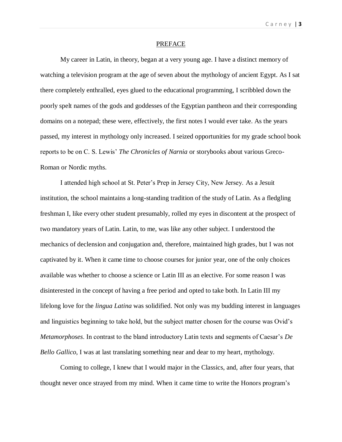#### PREFACE

My career in Latin, in theory, began at a very young age. I have a distinct memory of watching a television program at the age of seven about the mythology of ancient Egypt. As I sat there completely enthralled, eyes glued to the educational programming, I scribbled down the poorly spelt names of the gods and goddesses of the Egyptian pantheon and their corresponding domains on a notepad; these were, effectively, the first notes I would ever take. As the years passed, my interest in mythology only increased. I seized opportunities for my grade school book reports to be on C. S. Lewis' *The Chronicles of Narnia* or storybooks about various Greco-Roman or Nordic myths.

I attended high school at St. Peter's Prep in Jersey City, New Jersey. As a Jesuit institution, the school maintains a long-standing tradition of the study of Latin. As a fledgling freshman I, like every other student presumably, rolled my eyes in discontent at the prospect of two mandatory years of Latin. Latin, to me, was like any other subject. I understood the mechanics of declension and conjugation and, therefore, maintained high grades, but I was not captivated by it. When it came time to choose courses for junior year, one of the only choices available was whether to choose a science or Latin III as an elective. For some reason I was disinterested in the concept of having a free period and opted to take both. In Latin III my lifelong love for the *lingua Latina* was solidified. Not only was my budding interest in languages and linguistics beginning to take hold, but the subject matter chosen for the course was Ovid's *Metamorphoses*. In contrast to the bland introductory Latin texts and segments of Caesar's *De Bello Gallico*, I was at last translating something near and dear to my heart, mythology.

Coming to college, I knew that I would major in the Classics, and, after four years, that thought never once strayed from my mind. When it came time to write the Honors program's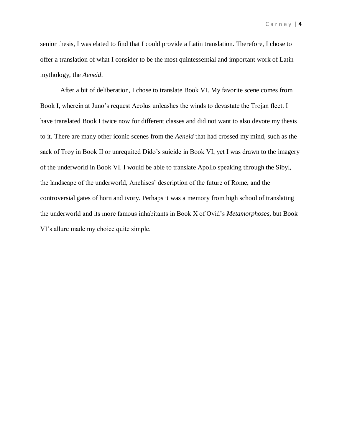senior thesis, I was elated to find that I could provide a Latin translation. Therefore, I chose to offer a translation of what I consider to be the most quintessential and important work of Latin mythology, the *Aeneid*.

After a bit of deliberation, I chose to translate Book VI. My favorite scene comes from Book I, wherein at Juno's request Aeolus unleashes the winds to devastate the Trojan fleet. I have translated Book I twice now for different classes and did not want to also devote my thesis to it. There are many other iconic scenes from the *Aeneid* that had crossed my mind, such as the sack of Troy in Book II or unrequited Dido's suicide in Book VI, yet I was drawn to the imagery of the underworld in Book VI. I would be able to translate Apollo speaking through the Sibyl, the landscape of the underworld, Anchises' description of the future of Rome, and the controversial gates of horn and ivory. Perhaps it was a memory from high school of translating the underworld and its more famous inhabitants in Book X of Ovid's *Metamorphoses*, but Book VI's allure made my choice quite simple.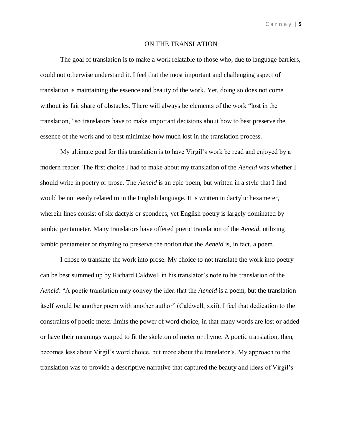#### ON THE TRANSLATION

The goal of translation is to make a work relatable to those who, due to language barriers, could not otherwise understand it. I feel that the most important and challenging aspect of translation is maintaining the essence and beauty of the work. Yet, doing so does not come without its fair share of obstacles. There will always be elements of the work "lost in the translation," so translators have to make important decisions about how to best preserve the essence of the work and to best minimize how much lost in the translation process.

My ultimate goal for this translation is to have Virgil's work be read and enjoyed by a modern reader. The first choice I had to make about my translation of the *Aeneid* was whether I should write in poetry or prose. The *Aeneid* is an epic poem, but written in a style that I find would be not easily related to in the English language. It is written in dactylic hexameter, wherein lines consist of six dactyls or spondees, yet English poetry is largely dominated by iambic pentameter. Many translators have offered poetic translation of the *Aeneid*, utilizing iambic pentameter or rhyming to preserve the notion that the *Aeneid* is, in fact, a poem.

I chose to translate the work into prose. My choice to not translate the work into poetry can be best summed up by Richard Caldwell in his translator's note to his translation of the *Aeneid*: ―A poetic translation may convey the idea that the *Aeneid* is a poem, but the translation itself would be another poem with another author" (Caldwell, xxii). I feel that dedication to the constraints of poetic meter limits the power of word choice, in that many words are lost or added or have their meanings warped to fit the skeleton of meter or rhyme. A poetic translation, then, becomes less about Virgil's word choice, but more about the translator's. My approach to the translation was to provide a descriptive narrative that captured the beauty and ideas of Virgil's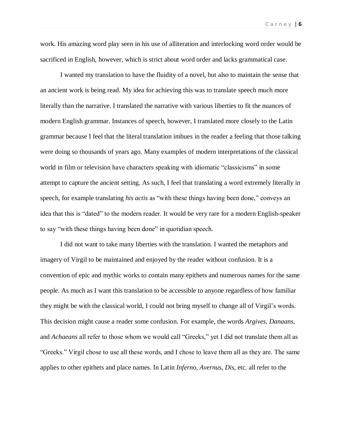work. His amazing word play seen in his use of alliteration and interlocking word order would be sacrificed in English, however, which is strict about word order and lacks grammatical case.

I wanted my translation to have the fluidity of a novel, but also to maintain the sense that an ancient work is being read. My idea for achieving this was to translate speech much more literally than the narrative. I translated the narrative with various liberties to fit the nuances of modern English grammar. Instances of speech, however, I translated more closely to the Latin grammar because I feel that the literal translation imbues in the reader a feeling that those talking were doing so thousands of years ago. Many examples of modern interpretations of the classical world in film or television have characters speaking with idiomatic "classicisms" in some attempt to capture the ancient setting. As such, I feel that translating a word extremely literally in speech, for example translating *his actis* as "with these things having been done," conveys an idea that this is "dated" to the modern reader. It would be very rare for a modern English-speaker to say "with these things having been done" in quotidian speech.

I did not want to take many liberties with the translation. I wanted the metaphors and imagery of Virgil to be maintained and enjoyed by the reader without confusion. It is a convention of epic and mythic works to contain many epithets and numerous names for the same people. As much as I want this translation to be accessible to anyone regardless of how familiar they might be with the classical world, I could not bring myself to change all of Virgil's words. This decision might cause a reader some confusion. For example, the words *Argives*, *Danaans*, and *Achaeans* all refer to those whom we would call "Greeks," yet I did not translate them all as ―Greeks.‖ Virgil chose to use all these words, and I chose to leave them all as they are. The same applies to other epithets and place names. In Latin *Inferno*, *Avernus*, *Dis*, etc. all refer to the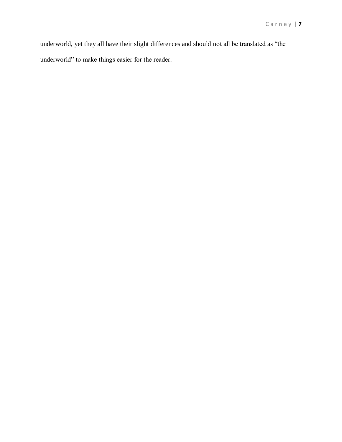underworld, yet they all have their slight differences and should not all be translated as "the underworld" to make things easier for the reader.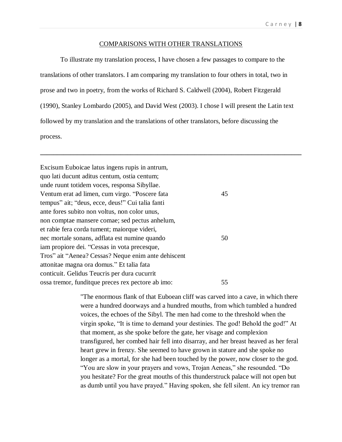#### COMPARISONS WITH OTHER TRANSLATIONS

To illustrate my translation process, I have chosen a few passages to compare to the translations of other translators. I am comparing my translation to four others in total, two in prose and two in poetry, from the works of Richard S. Caldwell (2004), Robert Fitzgerald (1990), Stanley Lombardo (2005), and David West (2003). I chose I will present the Latin text followed by my translation and the translations of other translators, before discussing the process.

**\_\_\_\_\_\_\_\_\_\_\_\_\_\_\_\_\_\_\_\_\_\_\_\_\_\_\_\_\_\_\_\_\_\_\_\_\_\_\_\_\_\_\_\_\_\_\_\_\_\_\_\_\_\_\_\_\_\_\_\_\_\_\_\_\_\_\_\_\_\_\_\_\_\_\_\_\_\_**

[Excisum](http://www.perseus.tufts.edu/hopper/morph?l=Excisum&la=la) [Euboicae](http://www.perseus.tufts.edu/hopper/morph?l=Euboicae&la=la&prior=Excisum) [latus](http://www.perseus.tufts.edu/hopper/morph?l=latus&la=la&prior=Euboicae) [ingens](http://www.perseus.tufts.edu/hopper/morph?l=ingens&la=la&prior=latus) [rupis](http://www.perseus.tufts.edu/hopper/morph?l=rupis&la=la&prior=ingens) [in](http://www.perseus.tufts.edu/hopper/morph?l=in&la=la&prior=rupis) [antrum,](http://www.perseus.tufts.edu/hopper/morph?l=antrum&la=la&prior=in) [quo](http://www.perseus.tufts.edu/hopper/morph?l=quo&la=la&prior=antrum) [lati](http://www.perseus.tufts.edu/hopper/morph?l=lati&la=la&prior=quo) [ducunt](http://www.perseus.tufts.edu/hopper/morph?l=ducunt&la=la&prior=lati) [aditus](http://www.perseus.tufts.edu/hopper/morph?l=aditus&la=la&prior=ducunt) [centum,](http://www.perseus.tufts.edu/hopper/morph?l=centum&la=la&prior=aditus) [ostia](http://www.perseus.tufts.edu/hopper/morph?l=ostia&la=la&prior=centum) [centum;](http://www.perseus.tufts.edu/hopper/morph?l=centum&la=la&prior=ostia) [unde](http://www.perseus.tufts.edu/hopper/morph?l=unde&la=la&prior=centum) [ruunt](http://www.perseus.tufts.edu/hopper/morph?l=ruunt&la=la&prior=unde) [totidem](http://www.perseus.tufts.edu/hopper/morph?l=totidem&la=la&prior=ruunt) [voces,](http://www.perseus.tufts.edu/hopper/morph?l=voces&la=la&prior=totidem) [responsa](http://www.perseus.tufts.edu/hopper/morph?l=responsa&la=la&prior=voces) [Sibyllae.](http://www.perseus.tufts.edu/hopper/morph?l=Sibyllae&la=la&prior=responsa) [Ventum](http://www.perseus.tufts.edu/hopper/morph?l=Ventum&la=la&prior=Sibyllae) [erat](http://www.perseus.tufts.edu/hopper/morph?l=erat&la=la&prior=Ventum) [ad](http://www.perseus.tufts.edu/hopper/morph?l=ad&la=la&prior=erat) [limen,](http://www.perseus.tufts.edu/hopper/morph?l=limen&la=la&prior=ad) [cum](http://www.perseus.tufts.edu/hopper/morph?l=cum&la=la&prior=limen) [virgo.](http://www.perseus.tufts.edu/hopper/morph?l=virgo&la=la&prior=cum) "Poscere [fata](http://www.perseus.tufts.edu/hopper/morph?l=fata&la=la&prior=Poscere) 45 tempus" [ait;](http://www.perseus.tufts.edu/hopper/morph?l=ait&la=la&prior=tempus) "deus, [ecce,](http://www.perseus.tufts.edu/hopper/morph?l=ecce&la=la&prior=deus) [deus!](http://www.perseus.tufts.edu/hopper/morph?l=deus&la=la&prior=ecce)" [Cui](http://www.perseus.tufts.edu/hopper/morph?l=Cui&la=la&prior=deus) [talia](http://www.perseus.tufts.edu/hopper/morph?l=talia&la=la&prior=Cui) [fanti](http://www.perseus.tufts.edu/hopper/morph?l=fanti&la=la&prior=talia) [ante](http://www.perseus.tufts.edu/hopper/morph?l=ante&la=la&prior=fanti) [fores](http://www.perseus.tufts.edu/hopper/morph?l=fores&la=la&prior=ante) [subito](http://www.perseus.tufts.edu/hopper/morph?l=subito&la=la&prior=fores) [non](http://www.perseus.tufts.edu/hopper/morph?l=non&la=la&prior=subito) [voltus,](http://www.perseus.tufts.edu/hopper/morph?l=voltus&la=la&prior=non) [non](http://www.perseus.tufts.edu/hopper/morph?l=non&la=la&prior=voltus) [color](http://www.perseus.tufts.edu/hopper/morph?l=color&la=la&prior=non) [unus,](http://www.perseus.tufts.edu/hopper/morph?l=unus&la=la&prior=color) [non](http://www.perseus.tufts.edu/hopper/morph?l=non&la=la&prior=unus) [comptae](http://www.perseus.tufts.edu/hopper/morph?l=comptae&la=la&prior=non) [mansere](http://www.perseus.tufts.edu/hopper/morph?l=mansere&la=la&prior=comptae) [comae;](http://www.perseus.tufts.edu/hopper/morph?l=comae&la=la&prior=mansere) [sed](http://www.perseus.tufts.edu/hopper/morph?l=sed&la=la&prior=comae) [pectus](http://www.perseus.tufts.edu/hopper/morph?l=pectus&la=la&prior=sed) [anhelum,](http://www.perseus.tufts.edu/hopper/morph?l=anhelum&la=la&prior=pectus) [et](http://www.perseus.tufts.edu/hopper/morph?l=et&la=la&prior=anhelum) [rabie](http://www.perseus.tufts.edu/hopper/morph?l=rabie&la=la&prior=et) [fera](http://www.perseus.tufts.edu/hopper/morph?l=fera&la=la&prior=rabie) [corda](http://www.perseus.tufts.edu/hopper/morph?l=corda&la=la&prior=fera) [tument;](http://www.perseus.tufts.edu/hopper/morph?l=tument&la=la&prior=corda) [maiorque](http://www.perseus.tufts.edu/hopper/morph?l=maiorque&la=la&prior=tument) [videri,](http://www.perseus.tufts.edu/hopper/morph?l=videri&la=la&prior=maiorque) [nec](http://www.perseus.tufts.edu/hopper/morph?l=nec&la=la&prior=videri) [mortale](http://www.perseus.tufts.edu/hopper/morph?l=mortale&la=la&prior=nec) [sonans,](http://www.perseus.tufts.edu/hopper/morph?l=sonans&la=la&prior=mortale) [adflata](http://www.perseus.tufts.edu/hopper/morph?l=adflata&la=la&prior=sonans) [est](http://www.perseus.tufts.edu/hopper/morph?l=est&la=la&prior=adflata) [numine](http://www.perseus.tufts.edu/hopper/morph?l=numine&la=la&prior=est) [quando](http://www.perseus.tufts.edu/hopper/morph?l=quando&la=la&prior=numine) 50 [iam](http://www.perseus.tufts.edu/hopper/morph?l=iam&la=la&prior=quando) [propiore](http://www.perseus.tufts.edu/hopper/morph?l=propiore&la=la&prior=iam) [dei.](http://www.perseus.tufts.edu/hopper/morph?l=dei&la=la&prior=propiore) "Cessas [in](http://www.perseus.tufts.edu/hopper/morph?l=in&la=la&prior=Cessas) [vota](http://www.perseus.tufts.edu/hopper/morph?l=vota&la=la&prior=in) [precesque,](http://www.perseus.tufts.edu/hopper/morph?l=precesque&la=la&prior=vota) Tros" [ait](http://www.perseus.tufts.edu/hopper/morph?l=ait&la=la&prior=Tros) "Aenea? [Cessas?](http://www.perseus.tufts.edu/hopper/morph?l=Cessas&la=la&prior=Aenea) [Neque](http://www.perseus.tufts.edu/hopper/morph?l=Neque&la=la&prior=Cessas) [enim](http://www.perseus.tufts.edu/hopper/morph?l=enim&la=la&prior=Neque) [ante](http://www.perseus.tufts.edu/hopper/morph?l=ante&la=la&prior=enim) [dehiscent](http://www.perseus.tufts.edu/hopper/morph?l=dehiscent&la=la&prior=ante) [attonitae](http://www.perseus.tufts.edu/hopper/morph?l=attonitae&la=la&prior=dehiscent) [magna](http://www.perseus.tufts.edu/hopper/morph?l=magna&la=la&prior=attonitae) [ora](http://www.perseus.tufts.edu/hopper/morph?l=ora&la=la&prior=magna) [domus.](http://www.perseus.tufts.edu/hopper/morph?l=domus&la=la&prior=ora)‖ [Et](http://www.perseus.tufts.edu/hopper/morph?l=Et&la=la&prior=domus) [talia](http://www.perseus.tufts.edu/hopper/morph?l=talia&la=la&prior=Et) [fata](http://www.perseus.tufts.edu/hopper/morph?l=fata&la=la&prior=talia) [conticuit.](http://www.perseus.tufts.edu/hopper/morph?l=conticuit&la=la&prior=fata) [Gelidus](http://www.perseus.tufts.edu/hopper/morph?l=Gelidus&la=la&prior=conticuit) [Teucris](http://www.perseus.tufts.edu/hopper/morph?l=Teucris&la=la&prior=Gelidus) [per](http://www.perseus.tufts.edu/hopper/morph?l=per&la=la&prior=Teucris) [dura](http://www.perseus.tufts.edu/hopper/morph?l=dura&la=la&prior=per) [cucurrit](http://www.perseus.tufts.edu/hopper/morph?l=cucurrit&la=la&prior=dura) [ossa](http://www.perseus.tufts.edu/hopper/morph?l=ossa&la=la&prior=cucurrit) [tremor,](http://www.perseus.tufts.edu/hopper/morph?l=tremor&la=la&prior=ossa) [funditque](http://www.perseus.tufts.edu/hopper/morph?l=funditque&la=la&prior=tremor) [preces](http://www.perseus.tufts.edu/hopper/morph?l=preces&la=la&prior=funditque) [rex](http://www.perseus.tufts.edu/hopper/morph?l=rex&la=la&prior=preces) [pectore](http://www.perseus.tufts.edu/hopper/morph?l=pectore&la=la&prior=rex) [ab](http://www.perseus.tufts.edu/hopper/morph?l=ab&la=la&prior=pectore) [imo:](http://www.perseus.tufts.edu/hopper/morph?l=imo&la=la&prior=ab) 55

> "The enormous flank of that Euboean cliff was carved into a cave, in which there were a hundred doorways and a hundred mouths, from which tumbled a hundred voices, the echoes of the Sibyl. The men had come to the threshold when the virgin spoke, "It is time to demand your destinies. The god! Behold the god!" At that moment, as she spoke before the gate, her visage and complexion transfigured, her combed hair fell into disarray, and her breast heaved as her feral heart grew in frenzy. She seemed to have grown in stature and she spoke no longer as a mortal, for she had been touched by the power, now closer to the god. "You are slow in your prayers and vows, Trojan Aeneas," she resounded. "Do you hesitate? For the great mouths of this thunderstruck palace will not open but as dumb until you have prayed." Having spoken, she fell silent. An icy tremor ran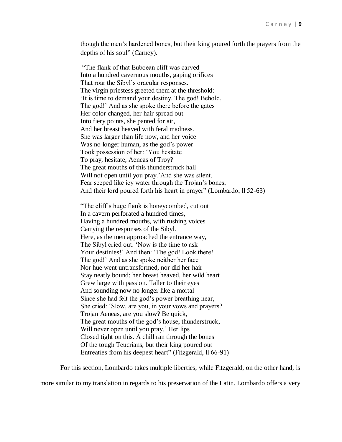though the men's hardened bones, but their king poured forth the prayers from the depths of his soul" (Carney).

―The flank of that Euboean cliff was carved Into a hundred cavernous mouths, gaping orifices That roar the Sibyl's oracular responses. The virgin priestess greeted them at the threshold: ‗It is time to demand your destiny. The god! Behold, The god!' And as she spoke there before the gates Her color changed, her hair spread out Into fiery points, she panted for air, And her breast heaved with feral madness. She was larger than life now, and her voice Was no longer human, as the god's power Took possession of her: ‗You hesitate To pray, hesitate, Aeneas of Troy? The great mouths of this thunderstruck hall Will not open until you pray.'And she was silent. Fear seeped like icy water through the Trojan's bones, And their lord poured forth his heart in prayer" (Lombardo,  $11\,52-63$ )

―The cliff's huge flank is honeycombed, cut out In a cavern perforated a hundred times, Having a hundred mouths, with rushing voices Carrying the responses of the Sibyl. Here, as the men approached the entrance way, The Sibyl cried out: 'Now is the time to ask Your destinies!' And then: 'The god! Look there! The god!' And as she spoke neither her face Nor hue went untransformed, nor did her hair Stay neatly bound: her breast heaved, her wild heart Grew large with passion. Taller to their eyes And sounding now no longer like a mortal Since she had felt the god's power breathing near, She cried: 'Slow, are you, in your vows and prayers? Trojan Aeneas, are you slow? Be quick, The great mouths of the god's house, thunderstruck, Will never open until you pray.' Her lips Closed tight on this. A chill ran through the bones Of the tough Teucrians, but their king poured out Entreaties from his deepest heart" (Fitzgerald, 1166-91)

For this section, Lombardo takes multiple liberties, while Fitzgerald, on the other hand, is

more similar to my translation in regards to his preservation of the Latin. Lombardo offers a very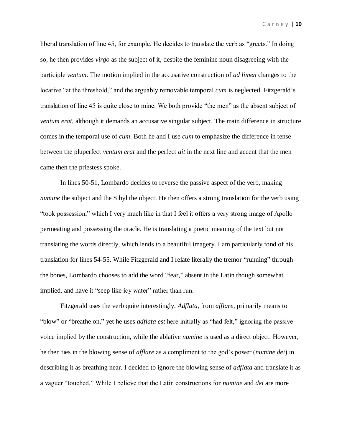liberal translation of line 45, for example. He decides to translate the verb as "greets." In doing so, he then provides *virgo* as the subject of it, despite the feminine noun disagreeing with the participle *ventum*. The motion implied in the accusative construction of *ad limen* changes to the locative "at the threshold," and the arguably removable temporal *cum* is neglected. Fitzgerald's translation of line 45 is quite close to mine. We both provide "the men" as the absent subject of *ventum erat*, although it demands an accusative singular subject. The main difference in structure comes in the temporal use of *cum*. Both he and I use *cum* to emphasize the difference in tense between the pluperfect *ventum erat* and the perfect *ait* in the next line and accent that the men came then the priestess spoke.

In lines 50-51, Lombardo decides to reverse the passive aspect of the verb, making *numine* the subject and the Sibyl the object. He then offers a strong translation for the verb using ―took possession,‖ which I very much like in that I feel it offers a very strong image of Apollo permeating and possessing the oracle. He is translating a poetic meaning of the text but not translating the words directly, which lends to a beautiful imagery. I am particularly fond of his translation for lines 54-55. While Fitzgerald and I relate literally the tremor "running" through the bones, Lombardo chooses to add the word "fear," absent in the Latin though somewhat implied, and have it "seep like icy water" rather than run.

Fitzgerald uses the verb quite interestingly. *Adflata*, from *afflare*, primarily means to "blow" or "breathe on," yet he uses *adflata est* here initially as "had felt," ignoring the passive voice implied by the construction, while the ablative *numine* is used as a direct object. However, he then ties in the blowing sense of *afflare* as a compliment to the god's power (*numine dei*) in describing it as breathing near. I decided to ignore the blowing sense of *adflata* and translate it as a vaguer "touched." While I believe that the Latin constructions for *numine* and *dei* are more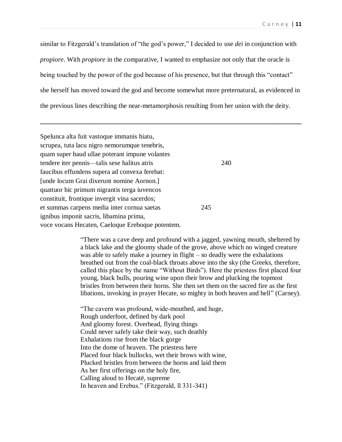similar to Fitzgerald's translation of "the god's power," I decided to use *dei* in conjunction with *propiore*. With *propiore* in the comparative, I wanted to emphasize not only that the oracle is being touched by the power of the god because of his presence, but that through this "contact" she herself has moved toward the god and become somewhat more preternatural, as evidenced in the previous lines describing the near-metamorphosis resulting from her union with the deity.

**\_\_\_\_\_\_\_\_\_\_\_\_\_\_\_\_\_\_\_\_\_\_\_\_\_\_\_\_\_\_\_\_\_\_\_\_\_\_\_\_\_\_\_\_\_\_\_\_\_\_\_\_\_\_\_\_\_\_\_\_\_\_\_\_\_\_\_\_\_\_\_\_\_\_\_\_\_\_**

[Spelunca](http://www.perseus.tufts.edu/hopper/morph?l=Spelunca&la=la&prior=Sibyllae) [alta](http://www.perseus.tufts.edu/hopper/morph?l=alta&la=la&prior=Spelunca) [fuit](http://www.perseus.tufts.edu/hopper/morph?l=fuit&la=la&prior=alta) [vastoque](http://www.perseus.tufts.edu/hopper/morph?l=vastoque&la=la&prior=fuit) [immanis](http://www.perseus.tufts.edu/hopper/morph?l=immanis&la=la&prior=vastoque) [hiatu,](http://www.perseus.tufts.edu/hopper/morph?l=hiatu&la=la&prior=immanis) [scrupea,](http://www.perseus.tufts.edu/hopper/morph?l=scrupea&la=la&prior=hiatu) [tuta](http://www.perseus.tufts.edu/hopper/morph?l=tuta&la=la&prior=scrupea) [lacu](http://www.perseus.tufts.edu/hopper/morph?l=lacu&la=la&prior=tuta) [nigro](http://www.perseus.tufts.edu/hopper/morph?l=nigro&la=la&prior=lacu) [nemorumque](http://www.perseus.tufts.edu/hopper/morph?l=nemorumque&la=la&prior=nigro) [tenebris,](http://www.perseus.tufts.edu/hopper/morph?l=tenebris&la=la&prior=nemorumque) [quam](http://www.perseus.tufts.edu/hopper/morph?l=quam&la=la&prior=tenebris) [super](http://www.perseus.tufts.edu/hopper/morph?l=super&la=la&prior=quam) [haud](http://www.perseus.tufts.edu/hopper/morph?l=haud&la=la&prior=super) [ullae](http://www.perseus.tufts.edu/hopper/morph?l=ullae&la=la&prior=haud) [poterant](http://www.perseus.tufts.edu/hopper/morph?l=poterant&la=la&prior=ullae) [impune](http://www.perseus.tufts.edu/hopper/morph?l=impune&la=la&prior=poterant) [volantes](http://www.perseus.tufts.edu/hopper/morph?l=volantes&la=la&prior=impune) [tendere](http://www.perseus.tufts.edu/hopper/morph?l=tendere&la=la&prior=volantes) [iter](http://www.perseus.tufts.edu/hopper/morph?l=iter&la=la&prior=tendere) [pennis—](http://www.perseus.tufts.edu/hopper/morph?l=pennis&la=la&prior=iter)[talis](http://www.perseus.tufts.edu/hopper/morph?l=talis&la=la&prior=pennis) [sese](http://www.perseus.tufts.edu/hopper/morph?l=sese&la=la&prior=talis) [halitus](http://www.perseus.tufts.edu/hopper/morph?l=halitus&la=la&prior=sese) [atris](http://www.perseus.tufts.edu/hopper/morph?l=atris&la=la&prior=halitus) 240 [faucibus](http://www.perseus.tufts.edu/hopper/morph?l=faucibus&la=la&prior=atris) [effundens](http://www.perseus.tufts.edu/hopper/morph?l=effundens&la=la&prior=faucibus) [supera](http://www.perseus.tufts.edu/hopper/morph?l=supera&la=la&prior=effundens) [ad](http://www.perseus.tufts.edu/hopper/morph?l=ad&la=la&prior=supera) [convexa](http://www.perseus.tufts.edu/hopper/morph?l=convexa&la=la&prior=ad) [ferebat:](http://www.perseus.tufts.edu/hopper/morph?l=ferebat&la=la&prior=convexa) [\[unde](http://www.perseus.tufts.edu/hopper/morph?l=unde&la=la&prior=ferebat) [locum](http://www.perseus.tufts.edu/hopper/morph?l=locum&la=la&prior=unde) [Grai](http://www.perseus.tufts.edu/hopper/morph?l=Grai&la=la&prior=locum) [dixerunt](http://www.perseus.tufts.edu/hopper/morph?l=dixerunt&la=la&prior=Grai) [nomine](http://www.perseus.tufts.edu/hopper/morph?l=nomine&la=la&prior=dixerunt) [Aornon.](http://www.perseus.tufts.edu/hopper/morph?l=Aornon&la=la&prior=nomine)] [quattuor](http://www.perseus.tufts.edu/hopper/morph?l=quattuor&la=la&prior=Aornon) [hic](http://www.perseus.tufts.edu/hopper/morph?l=hic&la=la&prior=quattuor) [primum](http://www.perseus.tufts.edu/hopper/morph?l=primum&la=la&prior=hic) [nigrantis](http://www.perseus.tufts.edu/hopper/morph?l=nigrantis&la=la&prior=primum) [terga](http://www.perseus.tufts.edu/hopper/morph?l=terga&la=la&prior=nigrantis) [iuvencos](http://www.perseus.tufts.edu/hopper/morph?l=iuvencos&la=la&prior=terga) [constituit,](http://www.perseus.tufts.edu/hopper/morph?l=constituit&la=la&prior=iuvencos) [frontique](http://www.perseus.tufts.edu/hopper/morph?l=frontique&la=la&prior=constituit) [invergit](http://www.perseus.tufts.edu/hopper/morph?l=invergit&la=la&prior=frontique) [vina](http://www.perseus.tufts.edu/hopper/morph?l=vina&la=la&prior=invergit) [sacerdos;](http://www.perseus.tufts.edu/hopper/morph?l=sacerdos&la=la&prior=vina) [et](http://www.perseus.tufts.edu/hopper/morph?l=et&la=la&prior=sacerdos) [summas](http://www.perseus.tufts.edu/hopper/morph?l=summas&la=la&prior=et) [carpens](http://www.perseus.tufts.edu/hopper/morph?l=carpens&la=la&prior=summas) [media](http://www.perseus.tufts.edu/hopper/morph?l=media&la=la&prior=carpens) [inter](http://www.perseus.tufts.edu/hopper/morph?l=inter&la=la&prior=media) [cornua](http://www.perseus.tufts.edu/hopper/morph?l=cornua&la=la&prior=inter) [saetas](http://www.perseus.tufts.edu/hopper/morph?l=saetas&la=la&prior=cornua) 245 [ignibus](http://www.perseus.tufts.edu/hopper/morph?l=ignibus&la=la&prior=saetas) [imponit](http://www.perseus.tufts.edu/hopper/morph?l=imponit&la=la&prior=ignibus) [sacris,](http://www.perseus.tufts.edu/hopper/morph?l=sacris&la=la&prior=imponit) [libamina](http://www.perseus.tufts.edu/hopper/morph?l=libamina&la=la&prior=sacris) [prima,](http://www.perseus.tufts.edu/hopper/morph?l=prima&la=la&prior=libamina) [voce](http://www.perseus.tufts.edu/hopper/morph?l=voce&la=la&prior=prima) [vocans](http://www.perseus.tufts.edu/hopper/morph?l=vocans&la=la&prior=voce) [Hecaten,](http://www.perseus.tufts.edu/hopper/morph?l=Hecaten&la=la&prior=vocans) [Caeloque](http://www.perseus.tufts.edu/hopper/morph?l=Caeloque&la=la&prior=Hecaten) [Ereboque](http://www.perseus.tufts.edu/hopper/morph?l=Ereboque&la=la&prior=Caeloque) [potentem.](http://www.perseus.tufts.edu/hopper/morph?l=potentem&la=la&prior=Ereboque)

> ―There was a cave deep and profound with a jagged, yawning mouth, sheltered by a black lake and the gloomy shade of the grove, above which no winged creature was able to safely make a journey in flight – so deadly were the exhalations breathed out from the coal-black throats above into the sky (the Greeks, therefore, called this place by the name "Without Birds"). Here the priestess first placed four young, black bulls, pouring wine upon their brow and plucking the topmost bristles from between their horns. She then set them on the sacred fire as the first libations, invoking in prayer Hecate, so mighty in both heaven and hell" (Carney).

―The cavern was profound, wide-mouthed, and huge, Rough underfoot, defined by dark pool And gloomy forest. Overhead, flying things Could never safely take their way, such deathly Exhalations rise from the black gorge Into the dome of heaven. The priestess here Placed four black bullocks, wet their brows with wine, Plucked bristles from between the horns and laid them As her first offerings on the holy fire, Calling aloud to Hecatë, supreme In heaven and Erebus." (Fitzgerald, 11 331-341)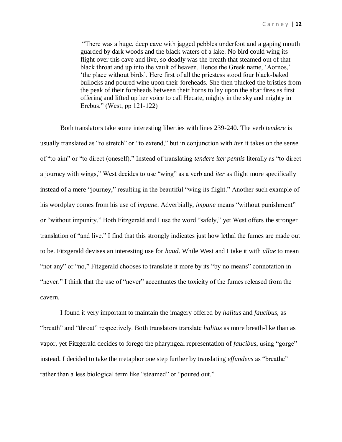―There was a huge, deep cave with jagged pebbles underfoot and a gaping mouth guarded by dark woods and the black waters of a lake. No bird could wing its flight over this cave and live, so deadly was the breath that steamed out of that black throat and up into the vault of heaven. Hence the Greek name, 'Aornos,' ‗the place without birds'. Here first of all the priestess stood four black-baked bullocks and poured wine upon their foreheads. She then plucked the bristles from the peak of their foreheads between their horns to lay upon the altar fires as first offering and lifted up her voice to call Hecate, mighty in the sky and mighty in Erebus." (West, pp 121-122)

Both translators take some interesting liberties with lines 239-240. The verb *tendere* is usually translated as "to stretch" or "to extend," but in conjunction with *iter* it takes on the sense of "to aim" or "to direct (oneself)." Instead of translating *tendere iter pennis* literally as "to direct a journey with wings," West decides to use "wing" as a verb and *iter* as flight more specifically instead of a mere "journey," resulting in the beautiful "wing its flight." Another such example of his wordplay comes from his use of *impune*. Adverbially, *impune* means "without punishment" or "without impunity." Both Fitzgerald and I use the word "safely," yet West offers the stronger translation of "and live." I find that this strongly indicates just how lethal the fumes are made out to be. Fitzgerald devises an interesting use for *haud*. While West and I take it with *ullae* to mean "not any" or "no," Fitzgerald chooses to translate it more by its "by no means" connotation in "never." I think that the use of "never" accentuates the toxicity of the fumes released from the cavern.

I found it very important to maintain the imagery offered by *halitus* and *faucibus*, as ―breath‖ and ―throat‖ respectively. Both translators translate *halitus* as more breath-like than as vapor, yet Fitzgerald decides to forego the pharyngeal representation of *faucibus*, using "gorge" instead. I decided to take the metaphor one step further by translating *effundens* as "breathe" rather than a less biological term like "steamed" or "poured out."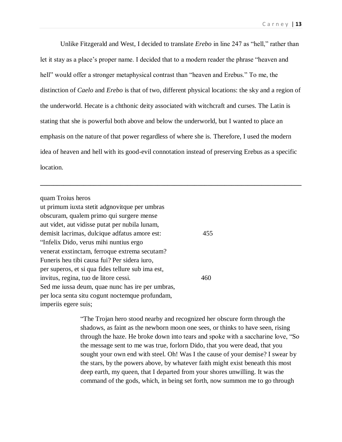Unlike Fitzgerald and West, I decided to translate *Erebo* in line 247 as "hell," rather than let it stay as a place's proper name. I decided that to a modern reader the phrase "heaven and hell" would offer a stronger metaphysical contrast than "heaven and Erebus." To me, the distinction of *Caelo* and *Erebo* is that of two, different physical locations: the sky and a region of the underworld. Hecate is a chthonic deity associated with witchcraft and curses. The Latin is stating that she is powerful both above and below the underworld, but I wanted to place an emphasis on the nature of that power regardless of where she is. Therefore, I used the modern idea of heaven and hell with its good-evil connotation instead of preserving Erebus as a specific location.

**\_\_\_\_\_\_\_\_\_\_\_\_\_\_\_\_\_\_\_\_\_\_\_\_\_\_\_\_\_\_\_\_\_\_\_\_\_\_\_\_\_\_\_\_\_\_\_\_\_\_\_\_\_\_\_\_\_\_\_\_\_\_\_\_\_\_\_\_\_\_\_\_\_\_\_\_\_\_**

[quam](http://www.perseus.tufts.edu/hopper/morph?l=quam&la=la&prior=magna) [Troius](http://www.perseus.tufts.edu/hopper/morph?l=Troius&la=la&prior=quam) [heros](http://www.perseus.tufts.edu/hopper/morph?l=heros&la=la&prior=Troius)

| ut primum iuxta stetit adgnovitque per umbras     |     |
|---------------------------------------------------|-----|
| obscuram, qualem primo qui surgere mense          |     |
| aut videt, aut vidisse putat per nubila lunam,    |     |
| demisit lacrimas, dulcique adfatus amore est:     | 455 |
| "Infelix Dido, verus mihi nuntius ergo            |     |
| venerat exstinctam, ferroque extrema secutam?     |     |
| Funeris heu tibi causa fui? Per sidera iuro,      |     |
| per superos, et si qua fides tellure sub ima est, |     |
| invitus, regina, tuo de litore cessi.             | 460 |
| Sed me iussa deum, quae nunc has ire per umbras,  |     |
| per loca senta situ cogunt noctemque profundam,   |     |
| imperiis egere suis;                              |     |

―The Trojan hero stood nearby and recognized her obscure form through the shadows, as faint as the newborn moon one sees, or thinks to have seen, rising through the haze. He broke down into tears and spoke with a saccharine love, "So the message sent to me was true, forlorn Dido, that you were dead, that you sought your own end with steel. Oh! Was I the cause of your demise? I swear by the stars, by the powers above, by whatever faith might exist beneath this most deep earth, my queen, that I departed from your shores unwilling. It was the command of the gods, which, in being set forth, now summon me to go through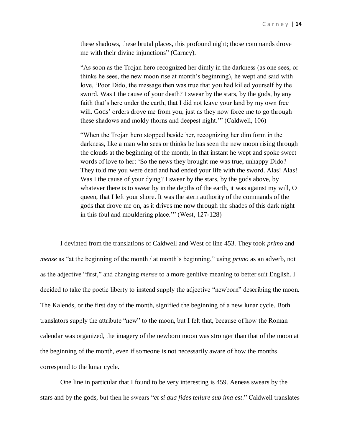these shadows, these brutal places, this profound night; those commands drove me with their divine injunctions" (Carney).

―As soon as the Trojan hero recognized her dimly in the darkness (as one sees, or thinks he sees, the new moon rise at month's beginning), he wept and said with love, 'Poor Dido, the message then was true that you had killed yourself by the sword. Was I the cause of your death? I swear by the stars, by the gods, by any faith that's here under the earth, that I did not leave your land by my own free will. Gods' orders drove me from you, just as they now force me to go through these shadows and moldy thorns and deepest night." (Caldwell, 106)

―When the Trojan hero stopped beside her, recognizing her dim form in the darkness, like a man who sees or thinks he has seen the new moon rising through the clouds at the beginning of the month, in that instant he wept and spoke sweet words of love to her: 'So the news they brought me was true, unhappy Dido? They told me you were dead and had ended your life with the sword. Alas! Alas! Was I the cause of your dying? I swear by the stars, by the gods above, by whatever there is to swear by in the depths of the earth, it was against my will, O queen, that I left your shore. It was the stern authority of the commands of the gods that drove me on, as it drives me now through the shades of this dark night in this foul and mouldering place.'" (West, 127-128)

I deviated from the translations of Caldwell and West of line 453. They took *primo* and *mense* as "at the beginning of the month / at month's beginning," using *primo* as an adverb, not as the adjective "first," and changing *mense* to a more genitive meaning to better suit English. I decided to take the poetic liberty to instead supply the adjective "newborn" describing the moon. The Kalends, or the first day of the month, signified the beginning of a new lunar cycle. Both translators supply the attribute "new" to the moon, but I felt that, because of how the Roman calendar was organized, the imagery of the newborn moon was stronger than that of the moon at the beginning of the month, even if someone is not necessarily aware of how the months correspond to the lunar cycle.

One line in particular that I found to be very interesting is 459. Aeneas swears by the stars and by the gods, but then he swears "*et si qua fides tellure sub ima est*." Caldwell translates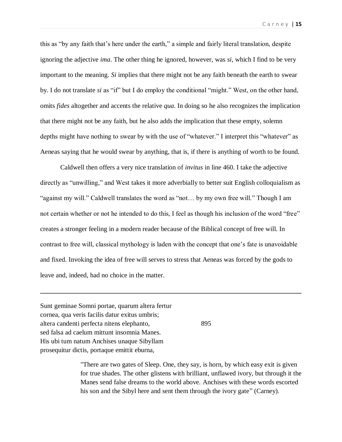this as "by any faith that's here under the earth," a simple and fairly literal translation, despite ignoring the adjective *ima*. The other thing he ignored, however, was *si*, which I find to be very important to the meaning. *Si* implies that there might not be any faith beneath the earth to swear by. I do not translate *si* as "if" but I do employ the conditional "might." West, on the other hand, omits *fides* altogether and accents the relative *qua*. In doing so he also recognizes the implication that there might not be any faith, but he also adds the implication that these empty, solemn depths might have nothing to swear by with the use of "whatever." I interpret this "whatever" as Aeneas saying that he would swear by anything, that is, if there is anything of worth to be found.

Caldwell then offers a very nice translation of *invitus* in line 460. I take the adjective directly as "unwilling," and West takes it more adverbially to better suit English colloquialism as "against my will." Caldwell translates the word as "not... by my own free will." Though I am not certain whether or not he intended to do this, I feel as though his inclusion of the word "free" creates a stronger feeling in a modern reader because of the Biblical concept of free will. In contrast to free will, classical mythology is laden with the concept that one's fate is unavoidable and fixed. Invoking the idea of free will serves to stress that Aeneas was forced by the gods to leave and, indeed, had no choice in the matter.

**\_\_\_\_\_\_\_\_\_\_\_\_\_\_\_\_\_\_\_\_\_\_\_\_\_\_\_\_\_\_\_\_\_\_\_\_\_\_\_\_\_\_\_\_\_\_\_\_\_\_\_\_\_\_\_\_\_\_\_\_\_\_\_\_\_\_\_\_\_\_\_\_\_\_\_\_\_\_**

[Sunt](http://www.perseus.tufts.edu/hopper/morph?l=Sunt&la=la) [geminae](http://www.perseus.tufts.edu/hopper/morph?l=geminae&la=la&prior=Sunt) [Somni](http://www.perseus.tufts.edu/hopper/morph?l=Somni&la=la&prior=geminae) [portae,](http://www.perseus.tufts.edu/hopper/morph?l=portae&la=la&prior=Somni) [quarum](http://www.perseus.tufts.edu/hopper/morph?l=quarum&la=la&prior=portae) [altera](http://www.perseus.tufts.edu/hopper/morph?l=altera&la=la&prior=quarum) [fertur](http://www.perseus.tufts.edu/hopper/morph?l=fertur&la=la&prior=altera) [cornea,](http://www.perseus.tufts.edu/hopper/morph?l=cornea&la=la&prior=fertur) [qua](http://www.perseus.tufts.edu/hopper/morph?l=qua&la=la&prior=cornea) [veris](http://www.perseus.tufts.edu/hopper/morph?l=veris&la=la&prior=qua) [facilis](http://www.perseus.tufts.edu/hopper/morph?l=facilis&la=la&prior=veris) [datur](http://www.perseus.tufts.edu/hopper/morph?l=datur&la=la&prior=facilis) [exitus](http://www.perseus.tufts.edu/hopper/morph?l=exitus&la=la&prior=datur) [umbris;](http://www.perseus.tufts.edu/hopper/morph?l=umbris&la=la&prior=exitus) [altera](http://www.perseus.tufts.edu/hopper/morph?l=altera&la=la&prior=umbris) [candenti](http://www.perseus.tufts.edu/hopper/morph?l=candenti&la=la&prior=altera) [perfecta](http://www.perseus.tufts.edu/hopper/morph?l=perfecta&la=la&prior=candenti) [nitens](http://www.perseus.tufts.edu/hopper/morph?l=nitens&la=la&prior=perfecta) [elephanto,](http://www.perseus.tufts.edu/hopper/morph?l=elephanto&la=la&prior=nitens) 895 [sed](http://www.perseus.tufts.edu/hopper/morph?l=sed&la=la&prior=elephanto) [falsa](http://www.perseus.tufts.edu/hopper/morph?l=falsa&la=la&prior=sed) [ad](http://www.perseus.tufts.edu/hopper/morph?l=ad&la=la&prior=falsa) [caelum](http://www.perseus.tufts.edu/hopper/morph?l=caelum&la=la&prior=ad) [mittunt](http://www.perseus.tufts.edu/hopper/morph?l=mittunt&la=la&prior=caelum) [insomnia](http://www.perseus.tufts.edu/hopper/morph?l=insomnia&la=la&prior=mittunt) [Manes.](http://www.perseus.tufts.edu/hopper/morph?l=Manes&la=la&prior=insomnia) [His](http://www.perseus.tufts.edu/hopper/morph?l=His&la=la&prior=Manes) [ubi](http://www.perseus.tufts.edu/hopper/morph?l=ubi&la=la&prior=His) [tum](http://www.perseus.tufts.edu/hopper/morph?l=tum&la=la&prior=ubi) [natum](http://www.perseus.tufts.edu/hopper/morph?l=natum&la=la&prior=tum) [Anchises](http://www.perseus.tufts.edu/hopper/morph?l=Anchises&la=la&prior=natum) [unaque](http://www.perseus.tufts.edu/hopper/morph?l=unaque&la=la&prior=Anchises) [Sibyllam](http://www.perseus.tufts.edu/hopper/morph?l=Sibyllam&la=la&prior=unaque) [prosequitur](http://www.perseus.tufts.edu/hopper/morph?l=prosequitur&la=la&prior=Sibyllam) [dictis,](http://www.perseus.tufts.edu/hopper/morph?l=dictis&la=la&prior=prosequitur) [portaque](http://www.perseus.tufts.edu/hopper/morph?l=portaque&la=la&prior=dictis) [emittit](http://www.perseus.tufts.edu/hopper/morph?l=emittit&la=la&prior=portaque) [eburna,](http://www.perseus.tufts.edu/hopper/morph?l=eburna&la=la&prior=emittit)

> "There are two gates of Sleep. One, they say, is horn, by which easy exit is given for true shades. The other glistens with brilliant, unflawed ivory, but through it the Manes send false dreams to the world above. Anchises with these words escorted his son and the Sibyl here and sent them through the ivory gate" (Carney).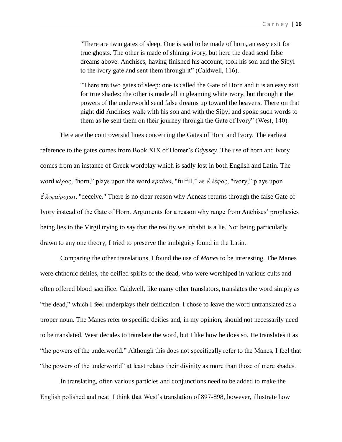"There are twin gates of sleep. One is said to be made of horn, an easy exit for true ghosts. The other is made of shining ivory, but here the dead send false dreams above. Anchises, having finished his account, took his son and the Sibyl to the ivory gate and sent them through it" (Caldwell, 116).

―There are two gates of sleep: one is called the Gate of Horn and it is an easy exit for true shades; the other is made all in gleaming white ivory, but through it the powers of the underworld send false dreams up toward the heavens. There on that night did Anchises walk with his son and with the Sibyl and spoke such words to them as he sent them on their journey through the Gate of Ivory" (West, 140).

Here are the controversial lines concerning the Gates of Horn and Ivory. The earliest reference to the gates comes from Book XIX of Homer's *Odyssey*. The use of horn and ivory comes from an instance of Greek wordplay which is sadly lost in both English and Latin. The word *κέρας*, "horn," plays upon the word *κραίνω*, "fulfill," as *έλέφας*, "ivory," plays upon ἐ *λεφαίρομαι*, "deceive." There is no clear reason why Aeneas returns through the false Gate of Ivory instead of the Gate of Horn. Arguments for a reason why range from Anchises' prophesies being lies to the Virgil trying to say that the reality we inhabit is a lie. Not being particularly drawn to any one theory, I tried to preserve the ambiguity found in the Latin.

Comparing the other translations, I found the use of *Manes* to be interesting. The Manes were chthonic deities, the deified spirits of the dead, who were worshiped in various cults and often offered blood sacrifice. Caldwell, like many other translators, translates the word simply as "the dead," which I feel underplays their deification. I chose to leave the word untranslated as a proper noun. The Manes refer to specific deities and, in my opinion, should not necessarily need to be translated. West decides to translate the word, but I like how he does so. He translates it as "the powers of the underworld." Although this does not specifically refer to the Manes, I feel that "the powers of the underworld" at least relates their divinity as more than those of mere shades.

In translating, often various particles and conjunctions need to be added to make the English polished and neat. I think that West's translation of 897-898, however, illustrate how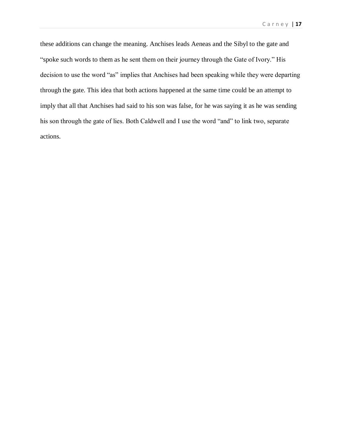these additions can change the meaning. Anchises leads Aeneas and the Sibyl to the gate and "spoke such words to them as he sent them on their journey through the Gate of Ivory." His decision to use the word "as" implies that Anchises had been speaking while they were departing through the gate. This idea that both actions happened at the same time could be an attempt to imply that all that Anchises had said to his son was false, for he was saying it as he was sending his son through the gate of lies. Both Caldwell and I use the word "and" to link two, separate actions.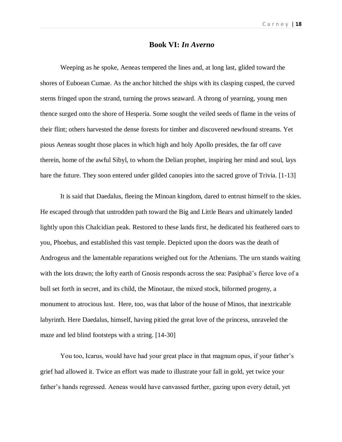## **Book VI:** *In Averno*

Weeping as he spoke, Aeneas tempered the lines and, at long last, glided toward the shores of Euboean Cumae. As the anchor hitched the ships with its clasping cusped, the curved sterns fringed upon the strand, turning the prows seaward. A throng of yearning, young men thence surged onto the shore of Hesperia. Some sought the veiled seeds of flame in the veins of their flint; others harvested the dense forests for timber and discovered newfound streams. Yet pious Aeneas sought those places in which high and holy Apollo presides, the far off cave therein, home of the awful Sibyl, to whom the Delian prophet, inspiring her mind and soul, lays bare the future. They soon entered under gilded canopies into the sacred grove of Trivia. [1-13]

It is said that Daedalus, fleeing the Minoan kingdom, dared to entrust himself to the skies. He escaped through that untrodden path toward the Big and Little Bears and ultimately landed lightly upon this Chalcidian peak. Restored to these lands first, he dedicated his feathered oars to you, Phoebus, and established this vast temple. Depicted upon the doors was the death of Androgeus and the lamentable reparations weighed out for the Athenians. The urn stands waiting with the lots drawn; the lofty earth of Gnosis responds across the sea: Pasiphaë's fierce love of a bull set forth in secret, and its child, the Minotaur, the mixed stock, biformed progeny, a monument to atrocious lust. Here, too, was that labor of the house of Minos, that inextricable labyrinth. Here Daedalus, himself, having pitied the great love of the princess, unraveled the maze and led blind footsteps with a string. [14-30]

You too, Icarus, would have had your great place in that magnum opus, if your father's grief had allowed it. Twice an effort was made to illustrate your fall in gold, yet twice your father's hands regressed. Aeneas would have canvassed further, gazing upon every detail, yet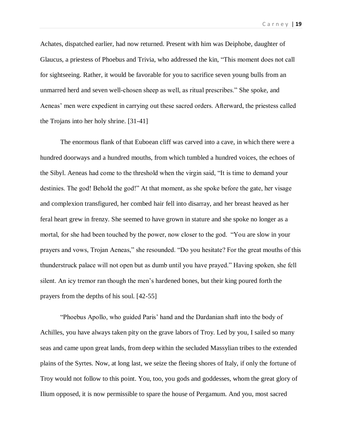Achates, dispatched earlier, had now returned. Present with him was Deiphobe, daughter of Glaucus, a priestess of Phoebus and Trivia, who addressed the kin, "This moment does not call for sightseeing. Rather, it would be favorable for you to sacrifice seven young bulls from an unmarred herd and seven well-chosen sheep as well, as ritual prescribes.‖ She spoke, and Aeneas' men were expedient in carrying out these sacred orders. Afterward, the priestess called the Trojans into her holy shrine. [31-41]

The enormous flank of that Euboean cliff was carved into a cave, in which there were a hundred doorways and a hundred mouths, from which tumbled a hundred voices, the echoes of the Sibyl. Aeneas had come to the threshold when the virgin said, "It is time to demand your destinies. The god! Behold the god!" At that moment, as she spoke before the gate, her visage and complexion transfigured, her combed hair fell into disarray, and her breast heaved as her feral heart grew in frenzy. She seemed to have grown in stature and she spoke no longer as a mortal, for she had been touched by the power, now closer to the god. "You are slow in your prayers and vows, Trojan Aeneas," she resounded. "Do you hesitate? For the great mouths of this thunderstruck palace will not open but as dumb until you have prayed." Having spoken, she fell silent. An icy tremor ran though the men's hardened bones, but their king poured forth the prayers from the depths of his soul. [42-55]

―Phoebus Apollo, who guided Paris' hand and the Dardanian shaft into the body of Achilles, you have always taken pity on the grave labors of Troy. Led by you, I sailed so many seas and came upon great lands, from deep within the secluded Massylian tribes to the extended plains of the Syrtes. Now, at long last, we seize the fleeing shores of Italy, if only the fortune of Troy would not follow to this point. You, too, you gods and goddesses, whom the great glory of Ilium opposed, it is now permissible to spare the house of Pergamum. And you, most sacred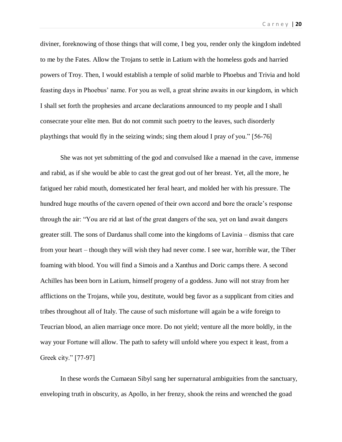diviner, foreknowing of those things that will come, I beg you, render only the kingdom indebted to me by the Fates. Allow the Trojans to settle in Latium with the homeless gods and harried powers of Troy. Then, I would establish a temple of solid marble to Phoebus and Trivia and hold feasting days in Phoebus' name. For you as well, a great shrine awaits in our kingdom, in which I shall set forth the prophesies and arcane declarations announced to my people and I shall consecrate your elite men. But do not commit such poetry to the leaves, such disorderly playthings that would fly in the seizing winds; sing them aloud I pray of you." [56-76]

She was not yet submitting of the god and convulsed like a maenad in the cave, immense and rabid, as if she would be able to cast the great god out of her breast. Yet, all the more, he fatigued her rabid mouth, domesticated her feral heart, and molded her with his pressure. The hundred huge mouths of the cavern opened of their own accord and bore the oracle's response through the air: ―You are rid at last of the great dangers of the sea, yet on land await dangers greater still. The sons of Dardanus shall come into the kingdoms of Lavinia – dismiss that care from your heart – though they will wish they had never come. I see war, horrible war, the Tiber foaming with blood. You will find a Simois and a Xanthus and Doric camps there. A second Achilles has been born in Latium, himself progeny of a goddess. Juno will not stray from her afflictions on the Trojans, while you, destitute, would beg favor as a supplicant from cities and tribes throughout all of Italy. The cause of such misfortune will again be a wife foreign to Teucrian blood, an alien marriage once more. Do not yield; venture all the more boldly, in the way your Fortune will allow. The path to safety will unfold where you expect it least, from a Greek city." [77-97]

In these words the Cumaean Sibyl sang her supernatural ambiguities from the sanctuary, enveloping truth in obscurity, as Apollo, in her frenzy, shook the reins and wrenched the goad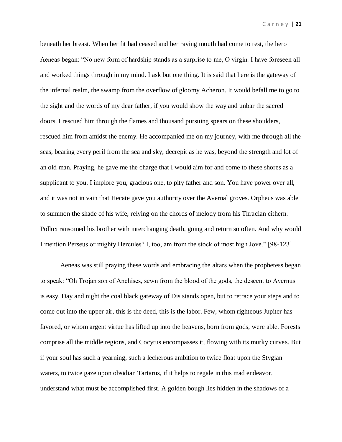beneath her breast. When her fit had ceased and her raving mouth had come to rest, the hero Aeneas began: "No new form of hardship stands as a surprise to me, O virgin. I have foreseen all and worked things through in my mind. I ask but one thing. It is said that here is the gateway of the infernal realm, the swamp from the overflow of gloomy Acheron. It would befall me to go to the sight and the words of my dear father, if you would show the way and unbar the sacred doors. I rescued him through the flames and thousand pursuing spears on these shoulders, rescued him from amidst the enemy. He accompanied me on my journey, with me through all the seas, bearing every peril from the sea and sky, decrepit as he was, beyond the strength and lot of an old man. Praying, he gave me the charge that I would aim for and come to these shores as a supplicant to you. I implore you, gracious one, to pity father and son. You have power over all, and it was not in vain that Hecate gave you authority over the Avernal groves. Orpheus was able to summon the shade of his wife, relying on the chords of melody from his Thracian cithern. Pollux ransomed his brother with interchanging death, going and return so often. And why would I mention Perseus or mighty Hercules? I, too, am from the stock of most high Jove." [98-123]

Aeneas was still praying these words and embracing the altars when the prophetess began to speak: "Oh Trojan son of Anchises, sewn from the blood of the gods, the descent to Avernus is easy. Day and night the coal black gateway of Dis stands open, but to retrace your steps and to come out into the upper air, this is the deed, this is the labor. Few, whom righteous Jupiter has favored, or whom argent virtue has lifted up into the heavens, born from gods, were able. Forests comprise all the middle regions, and Cocytus encompasses it, flowing with its murky curves. But if your soul has such a yearning, such a lecherous ambition to twice float upon the Stygian waters, to twice gaze upon obsidian Tartarus, if it helps to regale in this mad endeavor, understand what must be accomplished first. A golden bough lies hidden in the shadows of a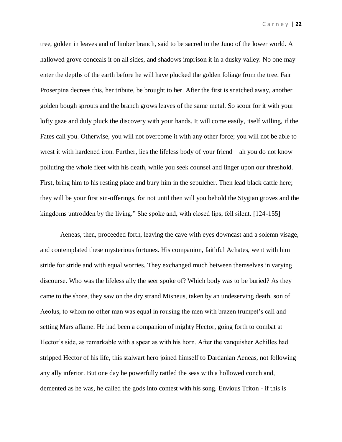tree, golden in leaves and of limber branch, said to be sacred to the Juno of the lower world. A hallowed grove conceals it on all sides, and shadows imprison it in a dusky valley. No one may enter the depths of the earth before he will have plucked the golden foliage from the tree. Fair Proserpina decrees this, her tribute, be brought to her. After the first is snatched away, another golden bough sprouts and the branch grows leaves of the same metal. So scour for it with your lofty gaze and duly pluck the discovery with your hands. It will come easily, itself willing, if the Fates call you. Otherwise, you will not overcome it with any other force; you will not be able to wrest it with hardened iron. Further, lies the lifeless body of your friend – ah you do not know – polluting the whole fleet with his death, while you seek counsel and linger upon our threshold. First, bring him to his resting place and bury him in the sepulcher. Then lead black cattle here; they will be your first sin-offerings, for not until then will you behold the Stygian groves and the kingdoms untrodden by the living." She spoke and, with closed lips, fell silent. [124-155]

Aeneas, then, proceeded forth, leaving the cave with eyes downcast and a solemn visage, and contemplated these mysterious fortunes. His companion, faithful Achates, went with him stride for stride and with equal worries. They exchanged much between themselves in varying discourse. Who was the lifeless ally the seer spoke of? Which body was to be buried? As they came to the shore, they saw on the dry strand Misneus, taken by an undeserving death, son of Aeolus, to whom no other man was equal in rousing the men with brazen trumpet's call and setting Mars aflame. He had been a companion of mighty Hector, going forth to combat at Hector's side, as remarkable with a spear as with his horn. After the vanquisher Achilles had stripped Hector of his life, this stalwart hero joined himself to Dardanian Aeneas, not following any ally inferior. But one day he powerfully rattled the seas with a hollowed conch and, demented as he was, he called the gods into contest with his song. Envious Triton - if this is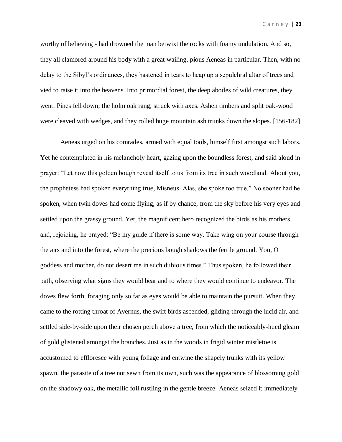worthy of believing - had drowned the man betwixt the rocks with foamy undulation. And so, they all clamored around his body with a great wailing, pious Aeneas in particular. Then, with no delay to the Sibyl's ordinances, they hastened in tears to heap up a sepulchral altar of trees and vied to raise it into the heavens. Into primordial forest, the deep abodes of wild creatures, they went. Pines fell down; the holm oak rang, struck with axes. Ashen timbers and split oak-wood were cleaved with wedges, and they rolled huge mountain ash trunks down the slopes. [156-182]

Aeneas urged on his comrades, armed with equal tools, himself first amongst such labors. Yet he contemplated in his melancholy heart, gazing upon the boundless forest, and said aloud in prayer: "Let now this golden bough reveal itself to us from its tree in such woodland. About you, the prophetess had spoken everything true, Misneus. Alas, she spoke too true." No sooner had he spoken, when twin doves had come flying, as if by chance, from the sky before his very eyes and settled upon the grassy ground. Yet, the magnificent hero recognized the birds as his mothers and, rejoicing, he prayed: "Be my guide if there is some way. Take wing on your course through the airs and into the forest, where the precious bough shadows the fertile ground. You, O goddess and mother, do not desert me in such dubious times." Thus spoken, he followed their path, observing what signs they would bear and to where they would continue to endeavor. The doves flew forth, foraging only so far as eyes would be able to maintain the pursuit. When they came to the rotting throat of Avernus, the swift birds ascended, gliding through the lucid air, and settled side-by-side upon their chosen perch above a tree, from which the noticeably-hued gleam of gold glistened amongst the branches. Just as in the woods in frigid winter mistletoe is accustomed to effloresce with young foliage and entwine the shapely trunks with its yellow spawn, the parasite of a tree not sewn from its own, such was the appearance of blossoming gold on the shadowy oak, the metallic foil rustling in the gentle breeze. Aeneas seized it immediately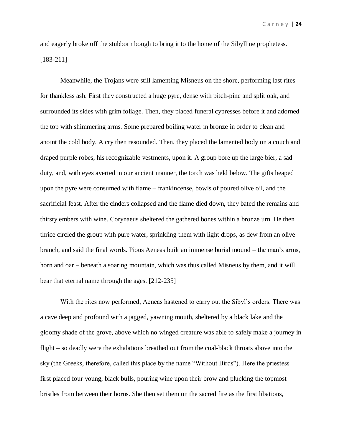and eagerly broke off the stubborn bough to bring it to the home of the Sibylline prophetess. [183-211]

Meanwhile, the Trojans were still lamenting Misneus on the shore, performing last rites for thankless ash. First they constructed a huge pyre, dense with pitch-pine and split oak, and surrounded its sides with grim foliage. Then, they placed funeral cypresses before it and adorned the top with shimmering arms. Some prepared boiling water in bronze in order to clean and anoint the cold body. A cry then resounded. Then, they placed the lamented body on a couch and draped purple robes, his recognizable vestments, upon it. A group bore up the large bier, a sad duty, and, with eyes averted in our ancient manner, the torch was held below. The gifts heaped upon the pyre were consumed with flame – frankincense, bowls of poured olive oil, and the sacrificial feast. After the cinders collapsed and the flame died down, they bated the remains and thirsty embers with wine. Corynaeus sheltered the gathered bones within a bronze urn. He then thrice circled the group with pure water, sprinkling them with light drops, as dew from an olive branch, and said the final words. Pious Aeneas built an immense burial mound – the man's arms, horn and oar – beneath a soaring mountain, which was thus called Misneus by them, and it will bear that eternal name through the ages. [212-235]

With the rites now performed, Aeneas hastened to carry out the Sibyl's orders. There was a cave deep and profound with a jagged, yawning mouth, sheltered by a black lake and the gloomy shade of the grove, above which no winged creature was able to safely make a journey in flight – so deadly were the exhalations breathed out from the coal-black throats above into the sky (the Greeks, therefore, called this place by the name "Without Birds"). Here the priestess first placed four young, black bulls, pouring wine upon their brow and plucking the topmost bristles from between their horns. She then set them on the sacred fire as the first libations,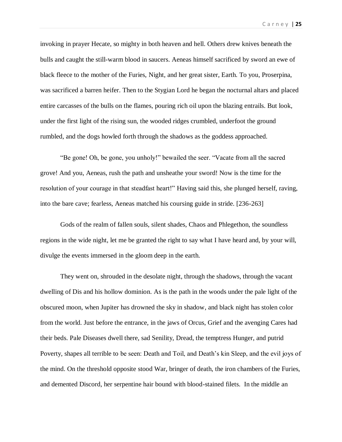invoking in prayer Hecate, so mighty in both heaven and hell. Others drew knives beneath the bulls and caught the still-warm blood in saucers. Aeneas himself sacrificed by sword an ewe of black fleece to the mother of the Furies, Night, and her great sister, Earth. To you, Proserpina, was sacrificed a barren heifer. Then to the Stygian Lord he began the nocturnal altars and placed entire carcasses of the bulls on the flames, pouring rich oil upon the blazing entrails. But look, under the first light of the rising sun, the wooded ridges crumbled, underfoot the ground rumbled, and the dogs howled forth through the shadows as the goddess approached.

"Be gone! Oh, be gone, you unholy!" bewailed the seer. "Vacate from all the sacred grove! And you, Aeneas, rush the path and unsheathe your sword! Now is the time for the resolution of your courage in that steadfast heart!" Having said this, she plunged herself, raving, into the bare cave; fearless, Aeneas matched his coursing guide in stride. [236-263]

Gods of the realm of fallen souls, silent shades, Chaos and Phlegethon, the soundless regions in the wide night, let me be granted the right to say what I have heard and, by your will, divulge the events immersed in the gloom deep in the earth.

They went on, shrouded in the desolate night, through the shadows, through the vacant dwelling of Dis and his hollow dominion. As is the path in the woods under the pale light of the obscured moon, when Jupiter has drowned the sky in shadow, and black night has stolen color from the world. Just before the entrance, in the jaws of Orcus, Grief and the avenging Cares had their beds. Pale Diseases dwell there, sad Senility, Dread, the temptress Hunger, and putrid Poverty, shapes all terrible to be seen: Death and Toil, and Death's kin Sleep, and the evil joys of the mind. On the threshold opposite stood War, bringer of death, the iron chambers of the Furies, and demented Discord, her serpentine hair bound with blood-stained filets. In the middle an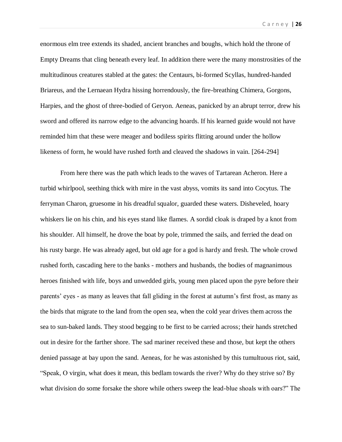enormous elm tree extends its shaded, ancient branches and boughs, which hold the throne of Empty Dreams that cling beneath every leaf. In addition there were the many monstrosities of the multitudinous creatures stabled at the gates: the Centaurs, bi-formed Scyllas, hundred-handed Briareus, and the Lernaean Hydra hissing horrendously, the fire-breathing Chimera, Gorgons, Harpies, and the ghost of three-bodied of Geryon. Aeneas, panicked by an abrupt terror, drew his sword and offered its narrow edge to the advancing hoards. If his learned guide would not have reminded him that these were meager and bodiless spirits flitting around under the hollow likeness of form, he would have rushed forth and cleaved the shadows in vain. [264-294]

From here there was the path which leads to the waves of Tartarean Acheron. Here a turbid whirlpool, seething thick with mire in the vast abyss, vomits its sand into Cocytus. The ferryman Charon, gruesome in his dreadful squalor, guarded these waters. Disheveled, hoary whiskers lie on his chin, and his eyes stand like flames. A sordid cloak is draped by a knot from his shoulder. All himself, he drove the boat by pole, trimmed the sails, and ferried the dead on his rusty barge. He was already aged, but old age for a god is hardy and fresh. The whole crowd rushed forth, cascading here to the banks - mothers and husbands, the bodies of magnanimous heroes finished with life, boys and unwedded girls, young men placed upon the pyre before their parents' eyes - as many as leaves that fall gliding in the forest at autumn's first frost, as many as the birds that migrate to the land from the open sea, when the cold year drives them across the sea to sun-baked lands. They stood begging to be first to be carried across; their hands stretched out in desire for the farther shore. The sad mariner received these and those, but kept the others denied passage at bay upon the sand. Aeneas, for he was astonished by this tumultuous riot, said, ―Speak, O virgin, what does it mean, this bedlam towards the river? Why do they strive so? By what division do some forsake the shore while others sweep the lead-blue shoals with oars?" The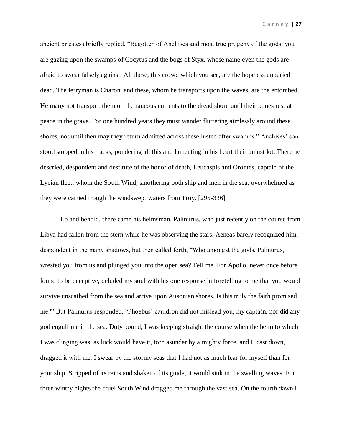ancient priestess briefly replied, "Begotten of Anchises and most true progeny of the gods, you are gazing upon the swamps of Cocytus and the bogs of Styx, whose name even the gods are afraid to swear falsely against. All these, this crowd which you see, are the hopeless unburied dead. The ferryman is Charon, and these, whom he transports upon the waves, are the entombed. He many not transport them on the raucous currents to the dread shore until their bones rest at peace in the grave. For one hundred years they must wander fluttering aimlessly around these shores, not until then may they return admitted across these lusted after swamps." Anchises' son stood stopped in his tracks, pondering all this and lamenting in his heart their unjust lot. There he descried, despondent and destitute of the honor of death, Leucaspis and Orontes, captain of the Lycian fleet, whom the South Wind, smothering both ship and men in the sea, overwhelmed as they were carried trough the windswept waters from Troy. [295-336]

Lo and behold, there came his helmsman, Palinurus, who just recently on the course from Libya had fallen from the stern while he was observing the stars. Aeneas barely recognized him, despondent in the many shadows, but then called forth, "Who amongst the gods, Palinurus, wrested you from us and plunged you into the open sea? Tell me. For Apollo, never once before found to be deceptive, deluded my soul with his one response in foretelling to me that you would survive unscathed from the sea and arrive upon Ausonian shores. Is this truly the faith promised me?" But Palinurus responded, "Phoebus' cauldron did not mislead you, my captain, nor did any god engulf me in the sea. Duty bound, I was keeping straight the course when the helm to which I was clinging was, as luck would have it, torn asunder by a mighty force, and I, cast down, dragged it with me. I swear by the stormy seas that I had not as much fear for myself than for your ship. Stripped of its reins and shaken of its guide, it would sink in the swelling waves. For three wintry nights the cruel South Wind dragged me through the vast sea. On the fourth dawn I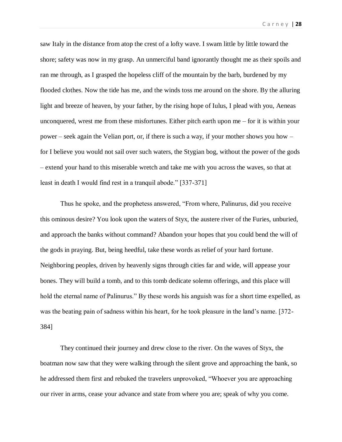saw Italy in the distance from atop the crest of a lofty wave. I swam little by little toward the shore; safety was now in my grasp. An unmerciful band ignorantly thought me as their spoils and ran me through, as I grasped the hopeless cliff of the mountain by the barb, burdened by my flooded clothes. Now the tide has me, and the winds toss me around on the shore. By the alluring light and breeze of heaven, by your father, by the rising hope of Iulus, I plead with you, Aeneas unconquered, wrest me from these misfortunes. Either pitch earth upon me – for it is within your power – seek again the Velian port, or, if there is such a way, if your mother shows you how – for I believe you would not sail over such waters, the Stygian bog, without the power of the gods – extend your hand to this miserable wretch and take me with you across the waves, so that at least in death I would find rest in a tranquil abode." [337-371]

Thus he spoke, and the prophetess answered, "From where, Palinurus, did you receive this ominous desire? You look upon the waters of Styx, the austere river of the Furies, unburied, and approach the banks without command? Abandon your hopes that you could bend the will of the gods in praying. But, being heedful, take these words as relief of your hard fortune. Neighboring peoples, driven by heavenly signs through cities far and wide, will appease your bones. They will build a tomb, and to this tomb dedicate solemn offerings, and this place will hold the eternal name of Palinurus." By these words his anguish was for a short time expelled, as was the beating pain of sadness within his heart, for he took pleasure in the land's name. [372- 384]

They continued their journey and drew close to the river. On the waves of Styx, the boatman now saw that they were walking through the silent grove and approaching the bank, so he addressed them first and rebuked the travelers unprovoked, "Whoever you are approaching our river in arms, cease your advance and state from where you are; speak of why you come.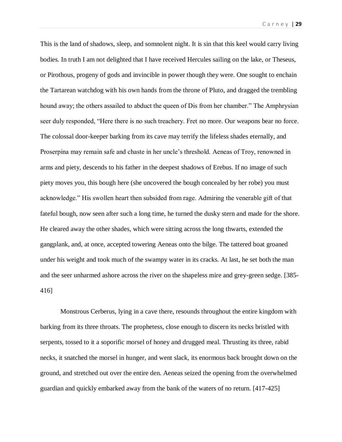This is the land of shadows, sleep, and somnolent night. It is sin that this keel would carry living bodies. In truth I am not delighted that I have received Hercules sailing on the lake, or Theseus, or Pirothous, progeny of gods and invincible in power though they were. One sought to enchain the Tartarean watchdog with his own hands from the throne of Pluto, and dragged the trembling hound away; the others assailed to abduct the queen of Dis from her chamber." The Amphrysian seer duly responded, "Here there is no such treachery. Fret no more. Our weapons bear no force. The colossal door-keeper barking from its cave may terrify the lifeless shades eternally, and Proserpina may remain safe and chaste in her uncle's threshold. Aeneas of Troy, renowned in arms and piety, descends to his father in the deepest shadows of Erebus. If no image of such piety moves you, this bough here (she uncovered the bough concealed by her robe) you must acknowledge." His swollen heart then subsided from rage. Admiring the venerable gift of that fateful bough, now seen after such a long time, he turned the dusky stern and made for the shore. He cleared away the other shades, which were sitting across the long thwarts, extended the gangplank, and, at once, accepted towering Aeneas onto the bilge. The tattered boat groaned under his weight and took much of the swampy water in its cracks. At last, he set both the man and the seer unharmed ashore across the river on the shapeless mire and grey-green sedge. [385- 416]

Monstrous Cerberus, lying in a cave there, resounds throughout the entire kingdom with barking from its three throats. The prophetess, close enough to discern its necks bristled with serpents, tossed to it a soporific morsel of honey and drugged meal. Thrusting its three, rabid necks, it snatched the morsel in hunger, and went slack, its enormous back brought down on the ground, and stretched out over the entire den. Aeneas seized the opening from the overwhelmed guardian and quickly embarked away from the bank of the waters of no return. [417-425]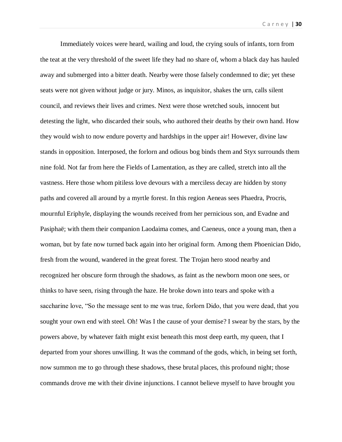Immediately voices were heard, wailing and loud, the crying souls of infants, torn from the teat at the very threshold of the sweet life they had no share of, whom a black day has hauled away and submerged into a bitter death. Nearby were those falsely condemned to die; yet these seats were not given without judge or jury. Minos, as inquisitor, shakes the urn, calls silent council, and reviews their lives and crimes. Next were those wretched souls, innocent but detesting the light, who discarded their souls, who authored their deaths by their own hand. How they would wish to now endure poverty and hardships in the upper air! However, divine law stands in opposition. Interposed, the forlorn and odious bog binds them and Styx surrounds them nine fold. Not far from here the Fields of Lamentation, as they are called, stretch into all the vastness. Here those whom pitiless love devours with a merciless decay are hidden by stony paths and covered all around by a myrtle forest. In this region Aeneas sees Phaedra, Procris, mournful Eriphyle, displaying the wounds received from her pernicious son, and Evadne and Pasiphaë; with them their companion Laodaima comes, and Caeneus, once a young man, then a woman, but by fate now turned back again into her original form. Among them Phoenician Dido, fresh from the wound, wandered in the great forest. The Trojan hero stood nearby and recognized her obscure form through the shadows, as faint as the newborn moon one sees, or thinks to have seen, rising through the haze. He broke down into tears and spoke with a saccharine love, "So the message sent to me was true, forlorn Dido, that you were dead, that you sought your own end with steel. Oh! Was I the cause of your demise? I swear by the stars, by the powers above, by whatever faith might exist beneath this most deep earth, my queen, that I departed from your shores unwilling. It was the command of the gods, which, in being set forth, now summon me to go through these shadows, these brutal places, this profound night; those commands drove me with their divine injunctions. I cannot believe myself to have brought you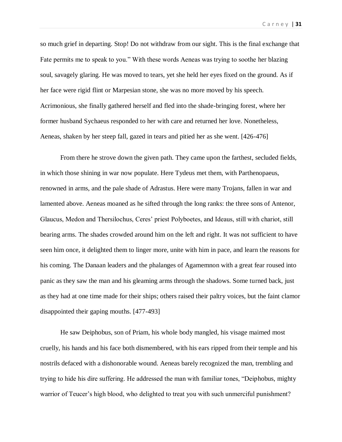so much grief in departing. Stop! Do not withdraw from our sight. This is the final exchange that Fate permits me to speak to you." With these words Aeneas was trying to soothe her blazing soul, savagely glaring. He was moved to tears, yet she held her eyes fixed on the ground. As if her face were rigid flint or Marpesian stone, she was no more moved by his speech. Acrimonious, she finally gathered herself and fled into the shade-bringing forest, where her former husband Sychaeus responded to her with care and returned her love. Nonetheless, Aeneas, shaken by her steep fall, gazed in tears and pitied her as she went. [426-476]

From there he strove down the given path. They came upon the farthest, secluded fields, in which those shining in war now populate. Here Tydeus met them, with Parthenopaeus, renowned in arms, and the pale shade of Adrastus. Here were many Trojans, fallen in war and lamented above. Aeneas moaned as he sifted through the long ranks: the three sons of Antenor, Glaucus, Medon and Thersilochus, Ceres' priest Polyboetes, and Ideaus, still with chariot, still bearing arms. The shades crowded around him on the left and right. It was not sufficient to have seen him once, it delighted them to linger more, unite with him in pace, and learn the reasons for his coming. The Danaan leaders and the phalanges of Agamemnon with a great fear roused into panic as they saw the man and his gleaming arms through the shadows. Some turned back, just as they had at one time made for their ships; others raised their paltry voices, but the faint clamor disappointed their gaping mouths. [477-493]

He saw Deiphobus, son of Priam, his whole body mangled, his visage maimed most cruelly, his hands and his face both dismembered, with his ears ripped from their temple and his nostrils defaced with a dishonorable wound. Aeneas barely recognized the man, trembling and trying to hide his dire suffering. He addressed the man with familiar tones, "Deiphobus, mighty warrior of Teucer's high blood, who delighted to treat you with such unmerciful punishment?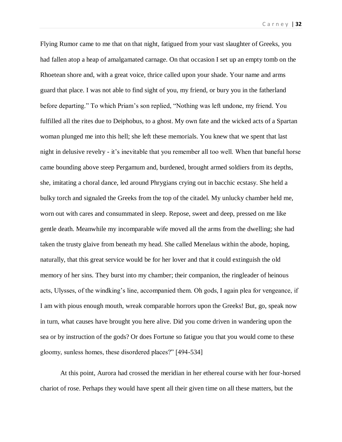Flying Rumor came to me that on that night, fatigued from your vast slaughter of Greeks, you had fallen atop a heap of amalgamated carnage. On that occasion I set up an empty tomb on the Rhoetean shore and, with a great voice, thrice called upon your shade. Your name and arms guard that place. I was not able to find sight of you, my friend, or bury you in the fatherland before departing." To which Priam's son replied, "Nothing was left undone, my friend. You fulfilled all the rites due to Deiphobus, to a ghost. My own fate and the wicked acts of a Spartan woman plunged me into this hell; she left these memorials. You knew that we spent that last night in delusive revelry - it's inevitable that you remember all too well. When that baneful horse came bounding above steep Pergamum and, burdened, brought armed soldiers from its depths, she, imitating a choral dance, led around Phrygians crying out in bacchic ecstasy. She held a bulky torch and signaled the Greeks from the top of the citadel. My unlucky chamber held me, worn out with cares and consummated in sleep. Repose, sweet and deep, pressed on me like gentle death. Meanwhile my incomparable wife moved all the arms from the dwelling; she had taken the trusty glaive from beneath my head. She called Menelaus within the abode, hoping, naturally, that this great service would be for her lover and that it could extinguish the old memory of her sins. They burst into my chamber; their companion, the ringleader of heinous acts, Ulysses, of the windking's line, accompanied them. Oh gods, I again plea for vengeance, if I am with pious enough mouth, wreak comparable horrors upon the Greeks! But, go, speak now in turn, what causes have brought you here alive. Did you come driven in wandering upon the sea or by instruction of the gods? Or does Fortune so fatigue you that you would come to these gloomy, sunless homes, these disordered places?" [494-534]

At this point, Aurora had crossed the meridian in her ethereal course with her four-horsed chariot of rose. Perhaps they would have spent all their given time on all these matters, but the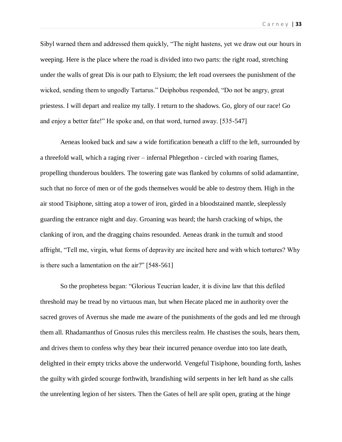Sibyl warned them and addressed them quickly, "The night hastens, yet we draw out our hours in weeping. Here is the place where the road is divided into two parts: the right road, stretching under the walls of great Dis is our path to Elysium; the left road oversees the punishment of the wicked, sending them to ungodly Tartarus." Deiphobus responded, "Do not be angry, great priestess. I will depart and realize my tally. I return to the shadows. Go, glory of our race! Go and enjoy a better fate!" He spoke and, on that word, turned away. [535-547]

Aeneas looked back and saw a wide fortification beneath a cliff to the left, surrounded by a threefold wall, which a raging river – infernal Phlegethon - circled with roaring flames, propelling thunderous boulders. The towering gate was flanked by columns of solid adamantine, such that no force of men or of the gods themselves would be able to destroy them. High in the air stood Tisiphone, sitting atop a tower of iron, girded in a bloodstained mantle, sleeplessly guarding the entrance night and day. Groaning was heard; the harsh cracking of whips, the clanking of iron, and the dragging chains resounded. Aeneas drank in the tumult and stood affright, "Tell me, virgin, what forms of depravity are incited here and with which tortures? Why is there such a lamentation on the air?"  $[548-561]$ 

So the prophetess began: "Glorious Teucrian leader, it is divine law that this defiled threshold may be tread by no virtuous man, but when Hecate placed me in authority over the sacred groves of Avernus she made me aware of the punishments of the gods and led me through them all. Rhadamanthus of Gnosus rules this merciless realm. He chastises the souls, hears them, and drives them to confess why they bear their incurred penance overdue into too late death, delighted in their empty tricks above the underworld. Vengeful Tisiphone, bounding forth, lashes the guilty with girded scourge forthwith, brandishing wild serpents in her left hand as she calls the unrelenting legion of her sisters. Then the Gates of hell are split open, grating at the hinge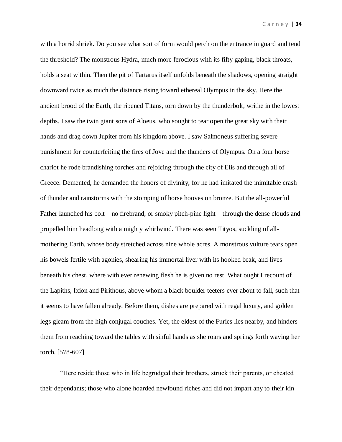with a horrid shriek. Do you see what sort of form would perch on the entrance in guard and tend the threshold? The monstrous Hydra, much more ferocious with its fifty gaping, black throats, holds a seat within. Then the pit of Tartarus itself unfolds beneath the shadows, opening straight downward twice as much the distance rising toward ethereal Olympus in the sky. Here the ancient brood of the Earth, the ripened Titans, torn down by the thunderbolt, writhe in the lowest depths. I saw the twin giant sons of Aloeus, who sought to tear open the great sky with their hands and drag down Jupiter from his kingdom above. I saw Salmoneus suffering severe punishment for counterfeiting the fires of Jove and the thunders of Olympus. On a four horse chariot he rode brandishing torches and rejoicing through the city of Elis and through all of Greece. Demented, he demanded the honors of divinity, for he had imitated the inimitable crash of thunder and rainstorms with the stomping of horse hooves on bronze. But the all-powerful Father launched his bolt – no firebrand, or smoky pitch-pine light – through the dense clouds and propelled him headlong with a mighty whirlwind. There was seen Tityos, suckling of allmothering Earth, whose body stretched across nine whole acres. A monstrous vulture tears open his bowels fertile with agonies, shearing his immortal liver with its hooked beak, and lives beneath his chest, where with ever renewing flesh he is given no rest. What ought I recount of the Lapiths, Ixion and Pirithous, above whom a black boulder teeters ever about to fall, such that it seems to have fallen already. Before them, dishes are prepared with regal luxury, and golden legs gleam from the high conjugal couches. Yet, the eldest of the Furies lies nearby, and hinders them from reaching toward the tables with sinful hands as she roars and springs forth waving her torch. [578-607]

―Here reside those who in life begrudged their brothers, struck their parents, or cheated their dependants; those who alone hoarded newfound riches and did not impart any to their kin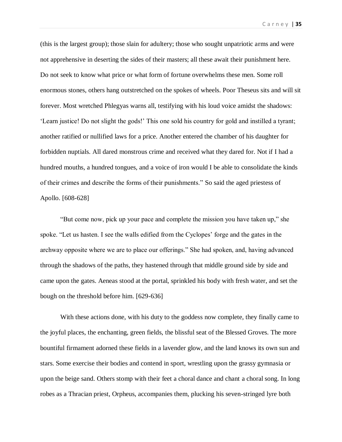(this is the largest group); those slain for adultery; those who sought unpatriotic arms and were not apprehensive in deserting the sides of their masters; all these await their punishment here. Do not seek to know what price or what form of fortune overwhelms these men. Some roll enormous stones, others hang outstretched on the spokes of wheels. Poor Theseus sits and will sit forever. Most wretched Phlegyas warns all, testifying with his loud voice amidst the shadows: ‗Learn justice! Do not slight the gods!' This one sold his country for gold and instilled a tyrant; another ratified or nullified laws for a price. Another entered the chamber of his daughter for forbidden nuptials. All dared monstrous crime and received what they dared for. Not if I had a hundred mouths, a hundred tongues, and a voice of iron would I be able to consolidate the kinds of their crimes and describe the forms of their punishments." So said the aged priestess of Apollo. [608-628]

"But come now, pick up your pace and complete the mission you have taken up," she spoke. "Let us hasten. I see the walls edified from the Cyclopes' forge and the gates in the archway opposite where we are to place our offerings." She had spoken, and, having advanced through the shadows of the paths, they hastened through that middle ground side by side and came upon the gates. Aeneas stood at the portal, sprinkled his body with fresh water, and set the bough on the threshold before him. [629-636]

With these actions done, with his duty to the goddess now complete, they finally came to the joyful places, the enchanting, green fields, the blissful seat of the Blessed Groves. The more bountiful firmament adorned these fields in a lavender glow, and the land knows its own sun and stars. Some exercise their bodies and contend in sport, wrestling upon the grassy gymnasia or upon the beige sand. Others stomp with their feet a choral dance and chant a choral song. In long robes as a Thracian priest, Orpheus, accompanies them, plucking his seven-stringed lyre both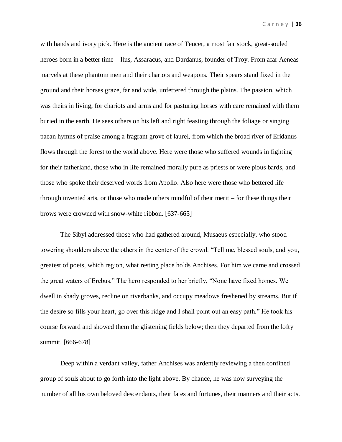with hands and ivory pick. Here is the ancient race of Teucer, a most fair stock, great-souled heroes born in a better time – Ilus, Assaracus, and Dardanus, founder of Troy. From afar Aeneas marvels at these phantom men and their chariots and weapons. Their spears stand fixed in the ground and their horses graze, far and wide, unfettered through the plains. The passion, which was theirs in living, for chariots and arms and for pasturing horses with care remained with them buried in the earth. He sees others on his left and right feasting through the foliage or singing paean hymns of praise among a fragrant grove of laurel, from which the broad river of Eridanus flows through the forest to the world above. Here were those who suffered wounds in fighting for their fatherland, those who in life remained morally pure as priests or were pious bards, and those who spoke their deserved words from Apollo. Also here were those who bettered life through invented arts, or those who made others mindful of their merit – for these things their brows were crowned with snow-white ribbon. [637-665]

The Sibyl addressed those who had gathered around, Musaeus especially, who stood towering shoulders above the others in the center of the crowd. "Tell me, blessed souls, and you, greatest of poets, which region, what resting place holds Anchises. For him we came and crossed the great waters of Erebus." The hero responded to her briefly, "None have fixed homes. We dwell in shady groves, recline on riverbanks, and occupy meadows freshened by streams. But if the desire so fills your heart, go over this ridge and I shall point out an easy path." He took his course forward and showed them the glistening fields below; then they departed from the lofty summit. [666-678]

Deep within a verdant valley, father Anchises was ardently reviewing a then confined group of souls about to go forth into the light above. By chance, he was now surveying the number of all his own beloved descendants, their fates and fortunes, their manners and their acts.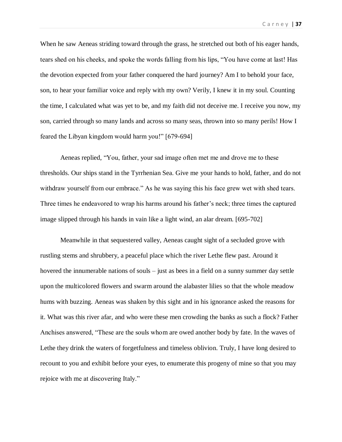When he saw Aeneas striding toward through the grass, he stretched out both of his eager hands, tears shed on his cheeks, and spoke the words falling from his lips, "You have come at last! Has the devotion expected from your father conquered the hard journey? Am I to behold your face, son, to hear your familiar voice and reply with my own? Verily, I knew it in my soul. Counting the time, I calculated what was yet to be, and my faith did not deceive me. I receive you now, my son, carried through so many lands and across so many seas, thrown into so many perils! How I feared the Libyan kingdom would harm you!" [679-694]

Aeneas replied, ―You, father, your sad image often met me and drove me to these thresholds. Our ships stand in the Tyrrhenian Sea. Give me your hands to hold, father, and do not withdraw yourself from our embrace." As he was saying this his face grew wet with shed tears. Three times he endeavored to wrap his harms around his father's neck; three times the captured image slipped through his hands in vain like a light wind, an alar dream. [695-702]

Meanwhile in that sequestered valley, Aeneas caught sight of a secluded grove with rustling stems and shrubbery, a peaceful place which the river Lethe flew past. Around it hovered the innumerable nations of souls – just as bees in a field on a sunny summer day settle upon the multicolored flowers and swarm around the alabaster lilies so that the whole meadow hums with buzzing. Aeneas was shaken by this sight and in his ignorance asked the reasons for it. What was this river afar, and who were these men crowding the banks as such a flock? Father Anchises answered, "These are the souls whom are owed another body by fate. In the waves of Lethe they drink the waters of forgetfulness and timeless oblivion. Truly, I have long desired to recount to you and exhibit before your eyes, to enumerate this progeny of mine so that you may rejoice with me at discovering Italy."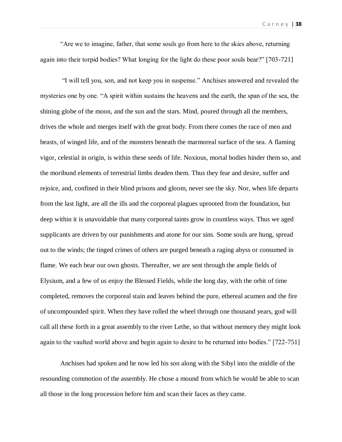―Are we to imagine, father, that some souls go from here to the skies above, returning again into their torpid bodies? What longing for the light do these poor souls bear?" [703-721]

"I will tell you, son, and not keep you in suspense." Anchises answered and revealed the mysteries one by one. "A spirit within sustains the heavens and the earth, the span of the sea, the shining globe of the moon, and the sun and the stars. Mind, poured through all the members, drives the whole and merges itself with the great body. From there comes the race of men and beasts, of winged life, and of the monsters beneath the marmoreal surface of the sea. A flaming vigor, celestial in origin, is within these seeds of life. Noxious, mortal bodies hinder them so, and the moribund elements of terrestrial limbs deaden them. Thus they fear and desire, suffer and rejoice, and, confined in their blind prisons and gloom, never see the sky. Nor, when life departs from the last light, are all the ills and the corporeal plagues uprooted from the foundation, but deep within it is unavoidable that many corporeal taints grow in countless ways. Thus we aged supplicants are driven by our punishments and atone for our sins. Some souls are hung, spread out to the winds; the tinged crimes of others are purged beneath a raging abyss or consumed in flame. We each bear our own ghosts. Thereafter, we are sent through the ample fields of Elysium, and a few of us enjoy the Blessed Fields, while the long day, with the orbit of time completed, removes the corporeal stain and leaves behind the pure, ethereal acumen and the fire of uncompounded spirit. When they have rolled the wheel through one thousand years, god will call all these forth in a great assembly to the river Lethe, so that without memory they might look again to the vaulted world above and begin again to desire to be returned into bodies." [722-751]

Anchises had spoken and he now led his son along with the Sibyl into the middle of the resounding commotion of the assembly. He chose a mound from which he would be able to scan all those in the long procession before him and scan their faces as they came.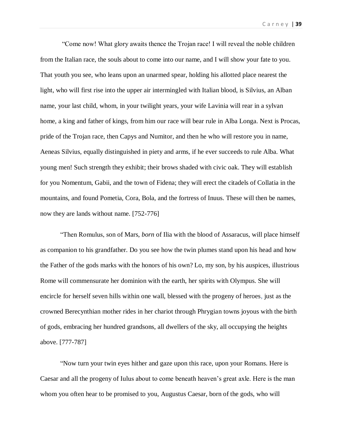―Come now! What glory awaits thence the Trojan race! I will reveal the noble children from the Italian race, the souls about to come into our name, and I will show your fate to you. That youth you see, who leans upon an unarmed spear, holding his allotted place nearest the light, who will first rise into the upper air intermingled with Italian blood, is Silvius, an Alban name, your last child, whom, in your twilight years, your wife Lavinia will rear in a sylvan home, a king and father of kings, from him our race will bear rule in Alba Longa. Next is Procas, pride of the Trojan race, then Capys and Numitor, and then he who will restore you in name, Aeneas Silvius, equally distinguished in piety and arms, if he ever succeeds to rule Alba. What young men! Such strength they exhibit; their brows shaded with civic oak. They will establish for you Nomentum, Gabii, and the town of Fidena; they will erect the citadels of Collatia in the mountains, and found Pometia, Cora, Bola, and the fortress of Inuus. These will then be names, now they are lands without name. [752-776]

―Then Romulus, son of Mars, *born* of Ilia with the blood of Assaracus, will place himself as companion to his grandfather. Do you see how the twin plumes stand upon his head and how the Father of the gods marks with the honors of his own? Lo, my son, by his auspices, illustrious Rome will commensurate her dominion with the earth, her spirits with Olympus. She will encircle for herself seven hills within one wall, blessed with the progeny of heroes, just as the crowned Berecynthian mother rides in her chariot through Phrygian towns joyous with the birth of gods, embracing her hundred grandsons, all dwellers of the sky, all occupying the heights above. [777-787]

―Now turn your twin eyes hither and gaze upon this race, upon your Romans. Here is Caesar and all the progeny of Iulus about to come beneath heaven's great axle. Here is the man whom you often hear to be promised to you, Augustus Caesar, born of the gods, who will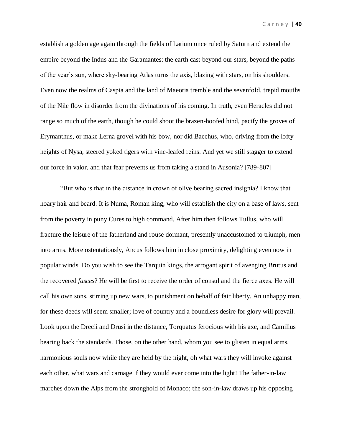establish a golden age again through the fields of Latium once ruled by Saturn and extend the empire beyond the Indus and the Garamantes: the earth cast beyond our stars, beyond the paths of the year's sun, where sky-bearing Atlas turns the axis, blazing with stars, on his shoulders. Even now the realms of Caspia and the land of Maeotia tremble and the sevenfold, trepid mouths of the Nile flow in disorder from the divinations of his coming. In truth, even Heracles did not range so much of the earth, though he could shoot the brazen-hoofed hind, pacify the groves of Erymanthus, or make Lerna grovel with his bow, nor did Bacchus, who, driving from the lofty heights of Nysa, steered yoked tigers with vine-leafed reins. And yet we still stagger to extend our force in valor, and that fear prevents us from taking a stand in Ausonia? [789-807]

―But who is that in the distance in crown of olive bearing sacred insignia? I know that hoary hair and beard. It is Numa, Roman king, who will establish the city on a base of laws, sent from the poverty in puny Cures to high command. After him then follows Tullus, who will fracture the leisure of the fatherland and rouse dormant, presently unaccustomed to triumph, men into arms. More ostentatiously, Ancus follows him in close proximity, delighting even now in popular winds. Do you wish to see the Tarquin kings, the arrogant spirit of avenging Brutus and the recovered *fasces*? He will be first to receive the order of consul and the fierce axes. He will call his own sons, stirring up new wars, to punishment on behalf of fair liberty. An unhappy man, for these deeds will seem smaller; love of country and a boundless desire for glory will prevail. Look upon the Drecii and Drusi in the distance, Torquatus ferocious with his axe, and Camillus bearing back the standards. Those, on the other hand, whom you see to glisten in equal arms, harmonious souls now while they are held by the night, oh what wars they will invoke against each other, what wars and carnage if they would ever come into the light! The father-in-law marches down the Alps from the stronghold of Monaco; the son-in-law draws up his opposing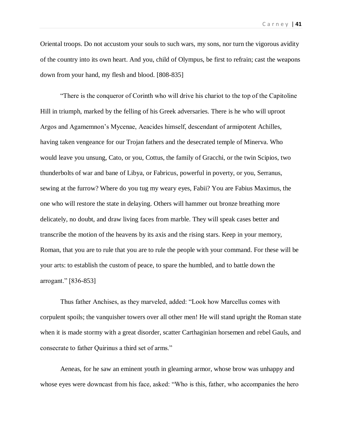Oriental troops. Do not accustom your souls to such wars, my sons, nor turn the vigorous avidity of the country into its own heart. And you, child of Olympus, be first to refrain; cast the weapons down from your hand, my flesh and blood. [808-835]

―There is the conqueror of Corinth who will drive his chariot to the top of the Capitoline Hill in triumph, marked by the felling of his Greek adversaries. There is he who will uproot Argos and Agamemnon's Mycenae, Aeacides himself, descendant of armipotent Achilles, having taken vengeance for our Trojan fathers and the desecrated temple of Minerva. Who would leave you unsung, Cato, or you, Cottus, the family of Gracchi, or the twin Scipios, two thunderbolts of war and bane of Libya, or Fabricus, powerful in poverty, or you, Serranus, sewing at the furrow? Where do you tug my weary eyes, Fabii? You are Fabius Maximus, the one who will restore the state in delaying. Others will hammer out bronze breathing more delicately, no doubt, and draw living faces from marble. They will speak cases better and transcribe the motion of the heavens by its axis and the rising stars. Keep in your memory, Roman, that you are to rule that you are to rule the people with your command. For these will be your arts: to establish the custom of peace, to spare the humbled, and to battle down the arrogant.‖ [836-853]

Thus father Anchises, as they marveled, added: "Look how Marcellus comes with corpulent spoils; the vanquisher towers over all other men! He will stand upright the Roman state when it is made stormy with a great disorder, scatter Carthaginian horsemen and rebel Gauls, and consecrate to father Quirinus a third set of arms."

Aeneas, for he saw an eminent youth in gleaming armor, whose brow was unhappy and whose eyes were downcast from his face, asked: "Who is this, father, who accompanies the hero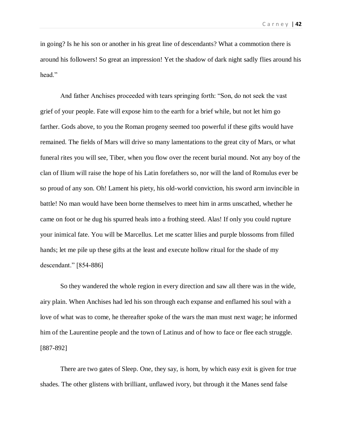in going? Is he his son or another in his great line of descendants? What a commotion there is around his followers! So great an impression! Yet the shadow of dark night sadly flies around his head."

And father Anchises proceeded with tears springing forth: "Son, do not seek the vast grief of your people. Fate will expose him to the earth for a brief while, but not let him go farther. Gods above, to you the Roman progeny seemed too powerful if these gifts would have remained. The fields of Mars will drive so many lamentations to the great city of Mars, or what funeral rites you will see, Tiber, when you flow over the recent burial mound. Not any boy of the clan of Ilium will raise the hope of his Latin forefathers so, nor will the land of Romulus ever be so proud of any son. Oh! Lament his piety, his old-world conviction, his sword arm invincible in battle! No man would have been borne themselves to meet him in arms unscathed, whether he came on foot or he dug his spurred heals into a frothing steed. Alas! If only you could rupture your inimical fate. You will be Marcellus. Let me scatter lilies and purple blossoms from filled hands; let me pile up these gifts at the least and execute hollow ritual for the shade of my descendant.‖ [854-886]

So they wandered the whole region in every direction and saw all there was in the wide, airy plain. When Anchises had led his son through each expanse and enflamed his soul with a love of what was to come, he thereafter spoke of the wars the man must next wage; he informed him of the Laurentine people and the town of Latinus and of how to face or flee each struggle. [887-892]

There are two gates of Sleep. One, they say, is horn, by which easy exit is given for true shades. The other glistens with brilliant, unflawed ivory, but through it the Manes send false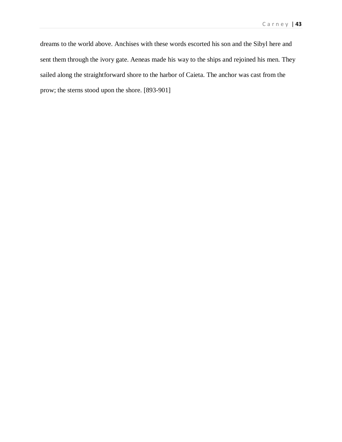dreams to the world above. Anchises with these words escorted his son and the Sibyl here and sent them through the ivory gate. Aeneas made his way to the ships and rejoined his men. They sailed along the straightforward shore to the harbor of Caieta. The anchor was cast from the prow; the sterns stood upon the shore. [893-901]